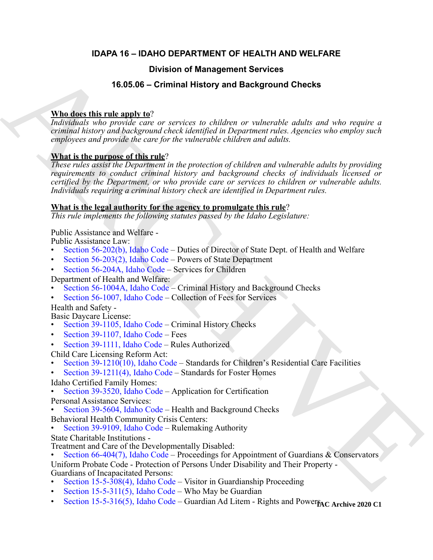### **IDAPA 16 – IDAHO DEPARTMENT OF HEALTH AND WELFARE**

### **Division of Management Services**

### **16.05.06 – Criminal History and Background Checks**

### **Who does this rule apply to**?

*Individuals who provide care or services to children or vulnerable adults and who require a criminal history and background check identified in Department rules. Agencies who employ such employees and provide the care for the vulnerable children and adults.*

### **What is the purpose of this rule**?

**Broad [C](https://legislature.idaho.gov/statutesrules/idstat/Title56/T56CH2/SECT56-202/)hargement Services**<br> **16.65.66 - Criminal History and Background Checks**<br> **Analogousition with meaning the control of the control of the control of the control of the control of the control of the control of the c** *These rules assist the Department in the protection of children and vulnerable adults by providing requirements to conduct criminal history and background checks of individuals licensed or certified by the Department, or who provide care or services to children or vulnerable adults. Individuals requiring a criminal history check are identified in Department rules.*

### **What is the legal authority for the agency to promulgate this rule**?

*This rule implements the following statutes passed by the Idaho Legislature:*

### Public Assistance and Welfare -

Public Assistance Law:

- Section 56-202(b), Idaho Code Duties of Director of State Dept. of Health and Welfare
- Section 56-203(2), Idaho Code Powers of State Department
- Section 56-204A, Idaho Code Services for Children
- Department of Health and Welfare:
- Section 56-1004A, Idaho Code Criminal History and Background Checks
- Section 56-1007, Idaho Code Collection of Fees for Services
- Health and Safety -

Basic Daycare License:

- Section 39-1105, Idaho Code Criminal History Checks
- Section 39-1107, Idaho Code Fees
- Section 39-1111, Idaho Code Rules Authorized

Child Care Licensing Reform Act:

• Section 39-1210(10), Idaho Code – Standards for Children's Residential Care Facilities

• Section 39-1211(4), Idaho Code – Standards for Foster Homes

- Idaho Certified Family Homes:
- Section 39-3520, Idaho Code Application for Certification

Personal Assistance Services:

- Section 39-5604, Idaho Code Health and Background Checks
- Behavioral Health Community Crisis Centers:
- Section 39-9109, Idaho Code Rulemaking Authority
- State Charitable Institutions -
- 
- Treatment and Care of the Developmentally Disabled:<br>• Section 66-404(7), Idaho Code Proceedings for Appointment of Guardians & Conservators

Uniform Probate Code - Protection of Persons Under Disability and Their Property - Guardians of Incapacitated Persons:

- Section 15-5-308(4), Idaho Code Visitor in Guardianship Proceeding
- Section 15-5-311(5), Idaho Code Who May be Guardian
- [Section 15-5-316\(5\), Idaho Code](https://legislature.idaho.gov/statutesrules/idstat/Title15/T15CH5/SECT15-5-316/)  Guardian Ad Litem Rights and Power<sub>PAC</sub> Archive 2020 C1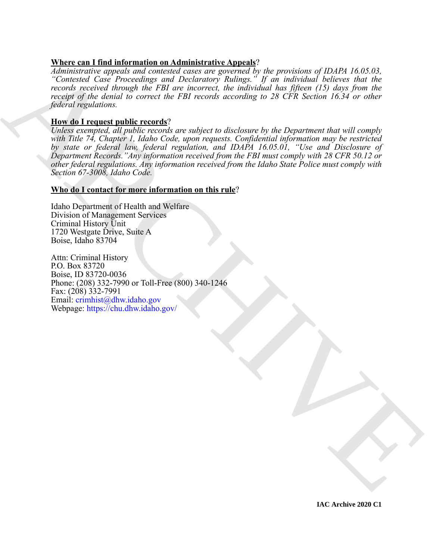### **Where can I find information on Administrative Appeals**?

*Administrative appeals and contested cases are governed by the provisions of IDAPA 16.05.03, "Contested Case Proceedings and Declaratory Rulings." If an individual believes that the records received through the FBI are incorrect, the individual has fifteen (15) days from the receipt of the denial to correct the FBI records according to 28 CFR Section 16.34 or other federal regulations.*

### **How do I request public records**?

Administrative applies and constant one books on the protocol pair of the protocol and the constant of the protocol pair of the protocol and the constant of the second technology of the second between the second the secon *Unless exempted, all public records are subject to disclosure by the Department that will comply with Title 74, Chapter 1, Idaho Code, upon requests. Confidential information may be restricted by state or federal law, federal regulation, and IDAPA 16.05.01, "Use and Disclosure of Department Records."Any information received from the FBI must comply with 28 CFR 50.12 or other federal regulations. Any information received from the Idaho State Police must comply with Section 67-3008, Idaho Code.*

### **Who do I contact for more information on this rule**?

Idaho Department of Health and Welfare Division of Management Services Criminal History Unit 1720 Westgate Drive, Suite A Boise, Idaho 83704

Attn: Criminal History P.O. Box 83720 Boise, ID 83720-0036 Phone: (208) 332-7990 or Toll-Free (800) 340-1246 Fax: (208) 332-7991 Email: crimhist@dhw.idaho.gov Webpage: https://chu.dhw.idaho.gov/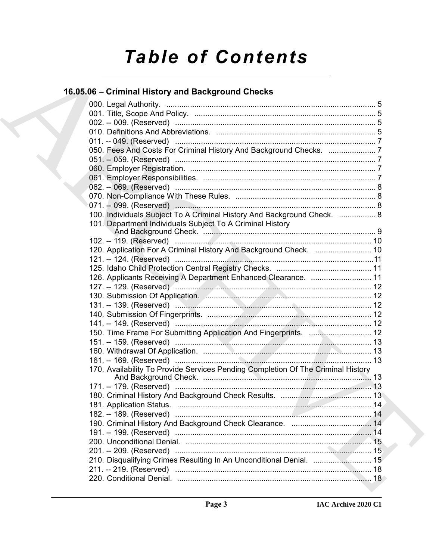# **Table of Contents**

# 16.05.06 - Criminal History and Background Checks

| 050. Fees And Costs For Criminal History And Background Checks. 7                |  |
|----------------------------------------------------------------------------------|--|
|                                                                                  |  |
|                                                                                  |  |
|                                                                                  |  |
|                                                                                  |  |
|                                                                                  |  |
| 071. -- 099. (Reserved) ……………………………………………………………………………… 8                         |  |
| 100. Individuals Subject To A Criminal History And Background Check.  8          |  |
| 101. Department Individuals Subject To A Criminal History                        |  |
|                                                                                  |  |
| 120. Application For A Criminal History And Background Check.  10                |  |
|                                                                                  |  |
|                                                                                  |  |
| 126. Applicants Receiving A Department Enhanced Clearance.  11                   |  |
|                                                                                  |  |
|                                                                                  |  |
|                                                                                  |  |
|                                                                                  |  |
|                                                                                  |  |
| 150. Time Frame For Submitting Application And Fingerprints.  12                 |  |
|                                                                                  |  |
|                                                                                  |  |
|                                                                                  |  |
| 170. Availability To Provide Services Pending Completion Of The Criminal History |  |
|                                                                                  |  |
|                                                                                  |  |
|                                                                                  |  |
| 182. -- 189. (Reserved)                                                          |  |
|                                                                                  |  |
|                                                                                  |  |
|                                                                                  |  |
|                                                                                  |  |
| 210. Disqualifying Crimes Resulting In An Unconditional Denial.  15              |  |
|                                                                                  |  |
|                                                                                  |  |
|                                                                                  |  |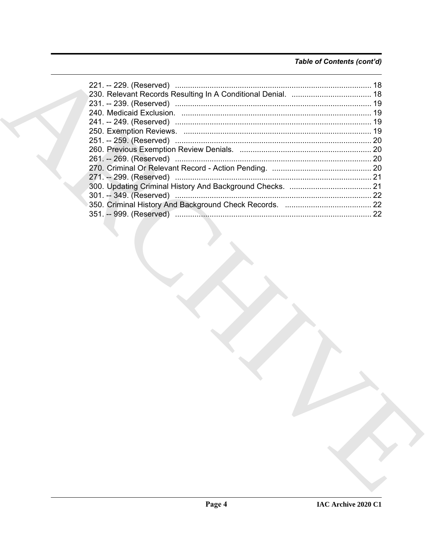### Table of Contents (cont'd)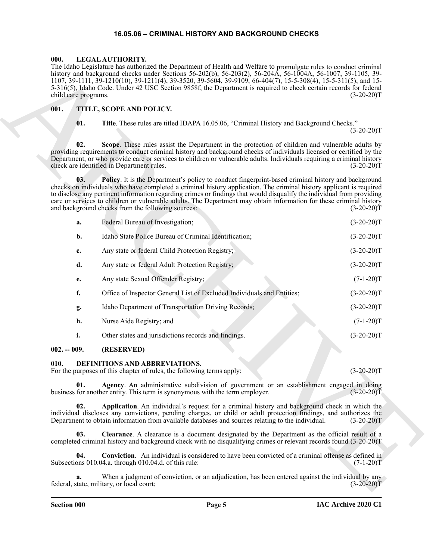### **16.05.06 – CRIMINAL HISTORY AND BACKGROUND CHECKS**

### <span id="page-4-10"></span><span id="page-4-1"></span><span id="page-4-0"></span>**000. LEGAL AUTHORITY.**

### <span id="page-4-11"></span><span id="page-4-2"></span>**001. TITLE, SCOPE AND POLICY.**

| child care programs. | The Idaho Legislature has authorized the Department of Health and Welfare to promulgate rules to conduct criminal<br>history and background checks under Sections 56-202(b), 56-203(2), 56-204A, 56-1004A, 56-1007, 39-1105, 39-<br>$1107, 39-1111, 39-1210(10), 39-1211(4), 39-3520, 39-5604, 39-9109, 66-404(7), 15-5-308(4), 15-5-311(5),$ and 15-<br>5-316(5), Idaho Code. Under 42 USC Section 9858f, the Department is required to check certain records for federal                                                      | $(3-20-20)T$ |
|----------------------|---------------------------------------------------------------------------------------------------------------------------------------------------------------------------------------------------------------------------------------------------------------------------------------------------------------------------------------------------------------------------------------------------------------------------------------------------------------------------------------------------------------------------------|--------------|
| 001.                 | TITLE, SCOPE AND POLICY.                                                                                                                                                                                                                                                                                                                                                                                                                                                                                                        |              |
| 01.                  | Title. These rules are titled IDAPA 16.05.06, "Criminal History and Background Checks."                                                                                                                                                                                                                                                                                                                                                                                                                                         | $(3-20-20)T$ |
| 02.                  | Scope. These rules assist the Department in the protection of children and vulnerable adults by<br>providing requirements to conduct criminal history and background checks of individuals licensed or certified by the<br>Department, or who provide care or services to children or vulnerable adults. Individuals requiring a criminal history<br>check are identified in Department rules.                                                                                                                                  | $(3-20-20)T$ |
| 03.                  | Policy. It is the Department's policy to conduct fingerprint-based criminal history and background<br>checks on individuals who have completed a criminal history application. The criminal history applicant is required<br>to disclose any pertinent information regarding crimes or findings that would disqualify the individual from providing<br>care or services to children or vulnerable adults. The Department may obtain information for these criminal history<br>and background checks from the following sources: | $(3-20-20)T$ |
| a.                   | Federal Bureau of Investigation;                                                                                                                                                                                                                                                                                                                                                                                                                                                                                                | $(3-20-20)T$ |
| b.                   | Idaho State Police Bureau of Criminal Identification;                                                                                                                                                                                                                                                                                                                                                                                                                                                                           | $(3-20-20)T$ |
| c.                   | Any state or federal Child Protection Registry;                                                                                                                                                                                                                                                                                                                                                                                                                                                                                 | $(3-20-20)T$ |
| d.                   | Any state or federal Adult Protection Registry;                                                                                                                                                                                                                                                                                                                                                                                                                                                                                 | $(3-20-20)T$ |
| e.                   | Any state Sexual Offender Registry;                                                                                                                                                                                                                                                                                                                                                                                                                                                                                             | $(7-1-20)T$  |
| f.                   | Office of Inspector General List of Excluded Individuals and Entities;                                                                                                                                                                                                                                                                                                                                                                                                                                                          | $(3-20-20)T$ |
| g.                   | Idaho Department of Transportation Driving Records;                                                                                                                                                                                                                                                                                                                                                                                                                                                                             | $(3-20-20)T$ |
| h.                   | Nurse Aide Registry; and                                                                                                                                                                                                                                                                                                                                                                                                                                                                                                        | $(7-1-20)T$  |
| i.                   | Other states and jurisdictions records and findings.                                                                                                                                                                                                                                                                                                                                                                                                                                                                            | $(3-20-20)T$ |
| $002. - 009.$        | (RESERVED)                                                                                                                                                                                                                                                                                                                                                                                                                                                                                                                      |              |
| 010.                 | DEFINITIONS AND ABBREVIATIONS.<br>For the purposes of this chapter of rules, the following terms apply:                                                                                                                                                                                                                                                                                                                                                                                                                         | $(3-20-20)T$ |
| 01.                  | Agency. An administrative subdivision of government or an establishment engaged in doing<br>business for another entity. This term is synonymous with the term employer.                                                                                                                                                                                                                                                                                                                                                        | $(3-20-20)T$ |
| 02.                  | Application. An individual's request for a criminal history and background check in which the<br>individual discloses any convictions, pending charges, or child or adult protection findings, and authorizes the<br>Department to obtain information from available databases and sources relating to the individual.                                                                                                                                                                                                          | $(3-20-20)T$ |
| 03.                  | Clearance. A clearance is a document designated by the Department as the official result of a<br>completed criminal history and background check with no disqualifying crimes or relevant records found. (3-20-20)T                                                                                                                                                                                                                                                                                                             |              |
| 04.                  | Conviction. An individual is considered to have been convicted of a criminal offense as defined in<br>Subsections 010.04.a. through 010.04.d. of this rule:                                                                                                                                                                                                                                                                                                                                                                     | $(7-1-20)T$  |
| a.                   | When a judgment of conviction, or an adjudication, has been entered against the individual by any<br>federal, state, military, or local court;                                                                                                                                                                                                                                                                                                                                                                                  | $(3-20-20)T$ |
|                      |                                                                                                                                                                                                                                                                                                                                                                                                                                                                                                                                 |              |

### <span id="page-4-3"></span>**002. -- 009. (RESERVED)**

### <span id="page-4-9"></span><span id="page-4-8"></span><span id="page-4-7"></span><span id="page-4-6"></span><span id="page-4-5"></span><span id="page-4-4"></span>**010. DEFINITIONS AND ABBREVIATIONS.**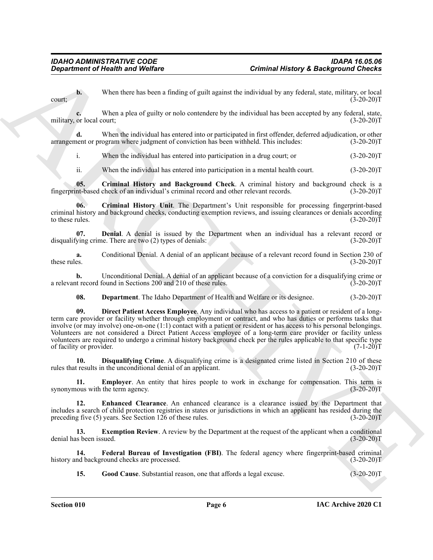**b.** When there has been a finding of guilt against the individual by any federal, state, military, or local  $\text{court};$  (3-20-20)T

**c.** When a plea of guilty or nolo contendere by the individual has been accepted by any federal, state, military, or local court; (3-20-20)T

**d.** When the individual has entered into or participated in first offender, deferred adjudication, or other arrangement or program where judgment of conviction has been withheld. This includes: (3-20-20)T

i. When the individual has entered into participation in a drug court; or (3-20-20)T

<span id="page-5-1"></span><span id="page-5-0"></span>ii. When the individual has entered into participation in a mental health court. (3-20-20)T

**05.** Criminal History and Background Check. A criminal history and background check is a nt-based check of an individual's criminal record and other relevant records. (3-20-20) fingerprint-based check of an individual's criminal record and other relevant records.

**06. Criminal History Unit**. The Department's Unit responsible for processing fingerprint-based criminal history and background checks, conducting exemption reviews, and issuing clearances or denials according to these rules.  $(3-20-20)T$ 

<span id="page-5-2"></span>**07. Denial**. A denial is issued by the Department when an individual has a relevant record or ying crime. There are two (2) types of denials: (3-20-20) disqualifying crime. There are two  $(2)$  types of denials:

**a.** Conditional Denial. A denial of an applicant because of a relevant record found in Section 230 of these rules. (3-20-20) these rules. (3-20-20)T

**b.** Unconditional Denial. A denial of an applicant because of a conviction for a disqualifying crime or at record found in Sections 200 and 210 of these rules. (3-20-20) a relevant record found in Sections 200 and 210 of these rules.

<span id="page-5-4"></span><span id="page-5-3"></span>**08. Department**. The Idaho Department of Health and Welfare or its designee. (3-20-20)T

Generation of Health and Welfare<br>
Use the latter has been a Luding of pull aquins the sub-ideal by any detection account  $\frac{1}{2}$ . The latter has the sub-ideal by the state is a deterministic pull and the sub-ideal by th **09. Direct Patient Access Employee**. Any individual who has access to a patient or resident of a longterm care provider or facility whether through employment or contract, and who has duties or performs tasks that involve (or may involve) one-on-one (1:1) contact with a patient or resident or has access to his personal belongings. Volunteers are not considered a Direct Patient Access employee of a long-term care provider or facility unless volunteers are required to undergo a criminal history background check per the rules applicable to that specific type of facility or provider. (7-1-20)T

<span id="page-5-5"></span>**10. Disqualifying Crime**. A disqualifying crime is a designated crime listed in Section 210 of these tresults in the unconditional denial of an applicant. (3-20-20) rules that results in the unconditional denial of an applicant.

<span id="page-5-6"></span>**11. Employer**. An entity that hires people to work in exchange for compensation. This term is nous with the term agency. (3-20-20)<sup>T</sup> synonymous with the term agency.

<span id="page-5-7"></span>**12. Enhanced Clearance**. An enhanced clearance is a clearance issued by the Department that includes a search of child protection registries in states or jurisdictions in which an applicant has resided during the preceding five (5) years. See Section 126 of these rules. (3-20-20)T

<span id="page-5-8"></span>**13.** Exemption Review. A review by the Department at the request of the applicant when a conditional denial has been issued. (3-20-20)T

**14. Federal Bureau of Investigation (FBI)**. The federal agency where fingerprint-based criminal history and background checks are processed. (3-20-20)T

<span id="page-5-10"></span><span id="page-5-9"></span>**15.** Good Cause. Substantial reason, one that affords a legal excuse. (3-20-20)T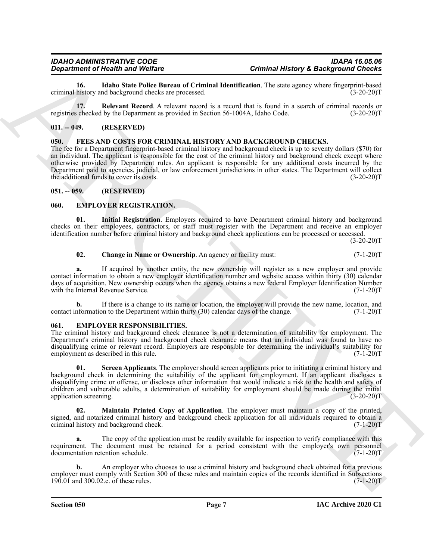<span id="page-6-5"></span>**16.** Idaho State Police Bureau of Criminal Identification. The state agency where fingerprint-based history and background checks are processed. criminal history and background checks are processed.

<span id="page-6-6"></span>**17. Relevant Record**. A relevant record is a record that is found in a search of criminal records or registries checked by the Department as provided in Section 56-1004A, Idaho Code. (3-20-20)T

### <span id="page-6-0"></span>**011. -- 049. (RESERVED)**

### <span id="page-6-13"></span><span id="page-6-1"></span>**050. FEES AND COSTS FOR CRIMINAL HISTORY AND BACKGROUND CHECKS.**

*General definite and the Velocity*<br> **Considering the Velocity and the Velocity Eures of Column Heat of the State Section of the State Section 2013**<br>
ARCHIVE BUSINE IN the State Section 30 (1990) and the State Section 3 The fee for a Department fingerprint-based criminal history and background check is up to seventy dollars (\$70) for an individual. The applicant is responsible for the cost of the criminal history and background check except where otherwise provided by Department rules. An applicant is responsible for any additional costs incurred by the Department paid to agencies, judicial, or law enforcement jurisdictions in other states. The Department will collect the additional funds to cover its costs. (3-20-20)T

### <span id="page-6-2"></span>**051. -- 059. (RESERVED)**

### <span id="page-6-7"></span><span id="page-6-3"></span>**060. EMPLOYER REGISTRATION.**

**01. Initial Registration**. Employers required to have Department criminal history and background checks on their employees, contractors, or staff must register with the Department and receive an employer identification number before criminal history and background check applications can be processed or accessed.

 $(3-20-20)T$ 

### <span id="page-6-9"></span><span id="page-6-8"></span>**02.** Change in Name or Ownership. An agency or facility must:  $(7-1-20)T$

**a.** If acquired by another entity, the new ownership will register as a new employer and provide contact information to obtain a new employer identification number and website access within thirty (30) calendar days of acquisition. New ownership occurs when the agency obtains a new federal Employer Identification Number with the Internal Revenue Service. (7-1-20)T

**b.** If there is a change to its name or location, the employer will provide the new name, location, and contact information to the Department within thirty (30) calendar days of the change. (7-1-20)T

### <span id="page-6-10"></span><span id="page-6-4"></span>**061. EMPLOYER RESPONSIBILITIES.**

The criminal history and background check clearance is not a determination of suitability for employment. The Department's criminal history and background check clearance means that an individual was found to have no disqualifying crime or relevant record. Employers are responsible for determining the individual's suitability for employment as described in this rule. (7-1-20)T

<span id="page-6-12"></span>**01. Screen Applicants**. The employer should screen applicants prior to initiating a criminal history and background check in determining the suitability of the applicant for employment. If an applicant discloses a disqualifying crime or offense, or discloses other information that would indicate a risk to the health and safety of children and vulnerable adults, a determination of suitability for employment should be made during the initial application screening. (3-20-20)T

<span id="page-6-11"></span>**02. Maintain Printed Copy of Application**. The employer must maintain a copy of the printed, signed, and notarized criminal history and background check application for all individuals required to obtain a criminal history and background check. criminal history and background check.

**a.** The copy of the application must be readily available for inspection to verify compliance with this requirement. The document must be retained for a period consistent with the employer's own personnel documentation retention schedule. (7-1-20) documentation retention schedule.

**b.** An employer who chooses to use a criminal history and background check obtained for a previous employer must comply with Section 300 of these rules and maintain copies of the records identified in Subsections 190.01 and 300.02.c. of these rules. (7-1-20)T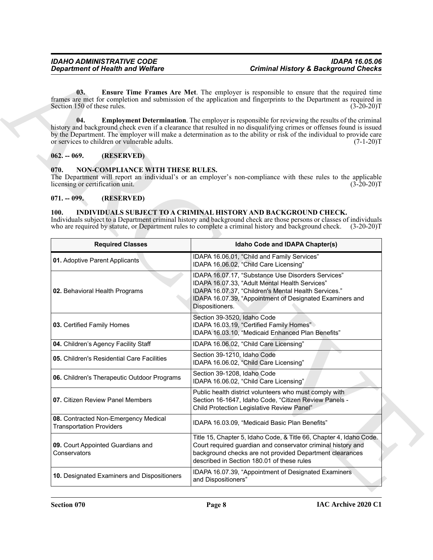### <span id="page-7-7"></span><span id="page-7-5"></span><span id="page-7-4"></span><span id="page-7-1"></span><span id="page-7-0"></span>**070. NON-COMPLIANCE WITH THESE RULES.**

### <span id="page-7-2"></span>**071. -- 099. (RESERVED)**

### <span id="page-7-6"></span><span id="page-7-3"></span>**100. INDIVIDUALS SUBJECT TO A CRIMINAL HISTORY AND BACKGROUND CHECK.**

| <b>Department of Health and Welfare</b>                                      | <b>Criminal History &amp; Background Checks</b>                                                                                                                                                                                                                                                                                                                          |
|------------------------------------------------------------------------------|--------------------------------------------------------------------------------------------------------------------------------------------------------------------------------------------------------------------------------------------------------------------------------------------------------------------------------------------------------------------------|
| 03.<br>Section 150 of these rules.                                           | Ensure Time Frames Are Met. The employer is responsible to ensure that the required time<br>frames are met for completion and submission of the application and fingerprints to the Department as required in<br>$(3-20-20)T$                                                                                                                                            |
| 04.<br>or services to children or vulnerable adults.                         | <b>Employment Determination</b> . The employer is responsible for reviewing the results of the criminal<br>history and background check even if a clearance that resulted in no disqualifying crimes or offenses found is issued<br>by the Department. The employer will make a determination as to the ability or risk of the individual to provide care<br>$(7-1-20)T$ |
| (RESERVED)<br>$062. - 069.$                                                  |                                                                                                                                                                                                                                                                                                                                                                          |
| 070.<br>NON-COMPLIANCE WITH THESE RULES.<br>licensing or certification unit. | The Department will report an individual's or an employer's non-compliance with these rules to the applicable<br>$(3-20-20)T$                                                                                                                                                                                                                                            |
| (RESERVED)<br>$071. - 099.$                                                  |                                                                                                                                                                                                                                                                                                                                                                          |
| <b>100.</b><br><b>Required Classes</b>                                       | INDIVIDUALS SUBJECT TO A CRIMINAL HISTORY AND BACKGROUND CHECK.<br>Individuals subject to a Department criminal history and background check are those persons or classes of individuals<br>who are required by statute, or Department rules to complete a criminal history and background check.<br>$(3-20-20)T$<br>Idaho Code and IDAPA Chapter(s)                     |
| 01. Adoptive Parent Applicants                                               | IDAPA 16.06.01, "Child and Family Services"                                                                                                                                                                                                                                                                                                                              |
| 02. Behavioral Health Programs                                               | IDAPA 16.06.02, "Child Care Licensing"<br>IDAPA 16.07.17, "Substance Use Disorders Services"<br>IDAPA 16.07.33, "Adult Mental Health Services"<br>IDAPA 16.07.37, "Children's Mental Health Services."<br>IDAPA 16.07.39, "Appointment of Designated Examiners and                                                                                                       |
|                                                                              | Dispositioners.                                                                                                                                                                                                                                                                                                                                                          |
| 03. Certified Family Homes                                                   | Section 39-3520, Idaho Code<br>IDAPA 16.03.19, "Certified Family Homes"<br>IDAPA 16.03.10, "Medicaid Enhanced Plan Benefits"                                                                                                                                                                                                                                             |
| 04. Children's Agency Facility Staff                                         | IDAPA 16.06.02, "Child Care Licensing"                                                                                                                                                                                                                                                                                                                                   |
| 05. Children's Residential Care Facilities                                   | Section 39-1210, Idaho Code<br>IDAPA 16.06.02, "Child Care Licensing"                                                                                                                                                                                                                                                                                                    |
| 06. Children's Therapeutic Outdoor Programs                                  | Section 39-1208, Idaho Code<br>IDAPA 16.06.02, "Child Care Licensing"                                                                                                                                                                                                                                                                                                    |
| 07. Citizen Review Panel Members                                             | Public health district volunteers who must comply with<br>Section 16-1647, Idaho Code, "Citizen Review Panels -<br>Child Protection Legislative Review Panel"                                                                                                                                                                                                            |
| 08. Contracted Non-Emergency Medical<br><b>Transportation Providers</b>      | IDAPA 16.03.09, "Medicaid Basic Plan Benefits"                                                                                                                                                                                                                                                                                                                           |
| 09. Court Appointed Guardians and<br>Conservators                            | Title 15, Chapter 5, Idaho Code, & Title 66, Chapter 4, Idaho Code.<br>Court required guardian and conservator criminal history and<br>background checks are not provided Department clearances<br>described in Section 180.01 of these rules                                                                                                                            |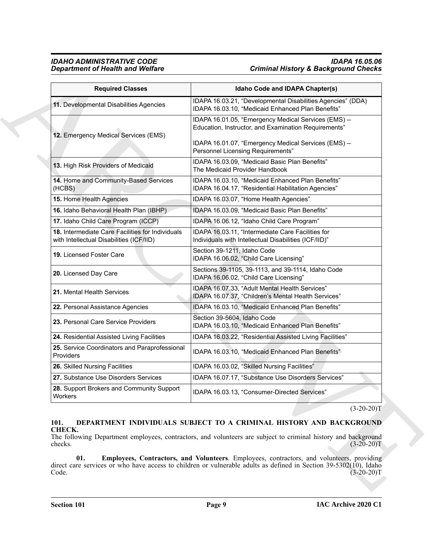### *IDAHO ADMINISTRATIVE CODE IDAPA 16.05.06 Department of Health and Welfare Criminal History & Background Checks*

| <b>Required Classes</b>                                                                      | Idaho Code and IDAPA Chapter(s)                                                                                                                                                                       |
|----------------------------------------------------------------------------------------------|-------------------------------------------------------------------------------------------------------------------------------------------------------------------------------------------------------|
| 11. Developmental Disabilities Agencies                                                      | IDAPA 16.03.21, "Developmental Disabilities Agencies" (DDA)<br>IDAPA 16.03.10, "Medicaid Enhanced Plan Benefits"                                                                                      |
| 12. Emergency Medical Services (EMS)                                                         | IDAPA 16.01.05, "Emergency Medical Services (EMS) --<br>Education, Instructor, and Examination Requirements"                                                                                          |
|                                                                                              | IDAPA 16.01.07, "Emergency Medical Services (EMS) --<br>Personnel Licensing Requirements"                                                                                                             |
| 13. High Risk Providers of Medicaid                                                          | IDAPA 16.03.09, "Medicaid Basic Plan Benefits"<br>The Medicaid Provider Handbook                                                                                                                      |
| 14. Home and Community-Based Services<br>(HCBS)                                              | IDAPA 16.03.10, "Medicaid Enhanced Plan Benefits"<br>IDAPA 16.04.17, "Residential Habilitation Agencies"                                                                                              |
| 15. Home Health Agencies                                                                     | IDAPA 16.03.07, "Home Health Agencies"                                                                                                                                                                |
| 16. Idaho Behavioral Health Plan (IBHP)                                                      | IDAPA 16.03.09, "Medicaid Basic Plan Benefits"                                                                                                                                                        |
| 17. Idaho Child Care Program (ICCP)                                                          | IDAPA 16.06.12, "Idaho Child Care Program"                                                                                                                                                            |
| 18. Intermediate Care Facilities for Individuals<br>with Intellectual Disabilities (ICF/IID) | IDAPA 16.03.11, "Intermediate Care Facilities for<br>Individuals with Intellectual Disabilities (ICF/IID)"                                                                                            |
| 19. Licensed Foster Care                                                                     | Section 39-1211, Idaho Code<br>IDAPA 16.06.02, "Child Care Licensing"                                                                                                                                 |
| 20. Licensed Day Care                                                                        | Sections 39-1105, 39-1113, and 39-1114, Idaho Code<br>IDAPA 16.06.02, "Child Care Licensing"                                                                                                          |
| 21. Mental Health Services                                                                   | IDAPA 16.07.33, "Adult Mental Health Services"<br>IDAPA 16.07.37, "Children's Mental Health Services"                                                                                                 |
| 22. Personal Assistance Agencies                                                             | IDAPA 16.03.10, "Medicaid Enhanced Plan Benefits"                                                                                                                                                     |
| 23. Personal Care Service Providers                                                          | Section 39-5604, Idaho Code<br>IDAPA 16.03.10, "Medicaid Enhanced Plan Benefits"                                                                                                                      |
| 24. Residential Assisted Living Facilities                                                   | IDAPA 16.03.22, "Residential Assisted Living Facilities"                                                                                                                                              |
| 25. Service Coordinators and Paraprofessional<br>Providers                                   | IDAPA 16.03.10, "Medicaid Enhanced Plan Benefits"                                                                                                                                                     |
| 26. Skilled Nursing Facilities                                                               | IDAPA 16.03.02, "Skilled Nursing Facilities"                                                                                                                                                          |
| 27. Substance Use Disorders Services                                                         | IDAPA 16.07.17, "Substance Use Disorders Services"                                                                                                                                                    |
| 28. Support Brokers and Community Support<br>Workers                                         | IDAPA 16.03.13, "Consumer-Directed Services"                                                                                                                                                          |
|                                                                                              | $(3-20-20)T$                                                                                                                                                                                          |
| 101.<br>CHECK.<br>checks.                                                                    | DEPARTMENT INDIVIDUALS SUBJECT TO A CRIMINAL HISTORY AND BACKGROUND<br>The following Department employees, contractors, and volunteers are subject to criminal history and background<br>$(3-20-20)T$ |
| 01.                                                                                          | Employees, Contractors, and Volunteers. Employees, contractors, and volunteers, providing                                                                                                             |
| Code.                                                                                        | direct care services or who have access to children or vulnerable adults as defined in Section 39-5302(10), Idaho<br>$(3-20-20)T$                                                                     |

### <span id="page-8-2"></span><span id="page-8-1"></span><span id="page-8-0"></span>**101. DEPARTMENT INDIVIDUALS SUBJECT TO A CRIMINAL HISTORY AND BACKGROUND CHECK.**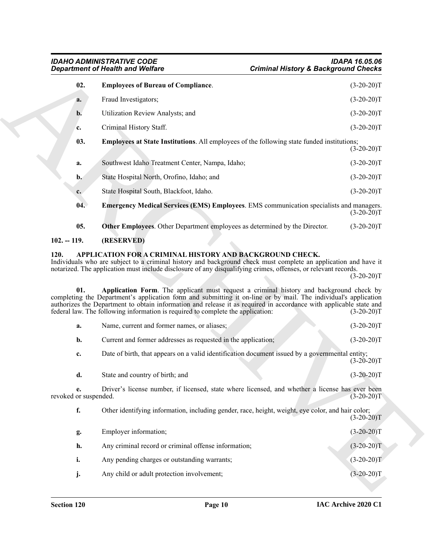<span id="page-9-6"></span><span id="page-9-5"></span>

|                                     | <b>Department of Health and Welfare</b><br><b>Criminal History &amp; Background Checks</b>                                                                                                                                                                                                                                                                                                                          |                                                                                                                              |
|-------------------------------------|---------------------------------------------------------------------------------------------------------------------------------------------------------------------------------------------------------------------------------------------------------------------------------------------------------------------------------------------------------------------------------------------------------------------|------------------------------------------------------------------------------------------------------------------------------|
| 02.                                 | <b>Employees of Bureau of Compliance.</b>                                                                                                                                                                                                                                                                                                                                                                           | $(3-20-20)T$                                                                                                                 |
| a.                                  | Fraud Investigators;                                                                                                                                                                                                                                                                                                                                                                                                | $(3-20-20)T$                                                                                                                 |
| $\mathbf{b}$ .                      | Utilization Review Analysts; and                                                                                                                                                                                                                                                                                                                                                                                    | $(3-20-20)T$                                                                                                                 |
| c.                                  | Criminal History Staff.                                                                                                                                                                                                                                                                                                                                                                                             | $(3-20-20)T$                                                                                                                 |
| 03.                                 | <b>Employees at State Institutions.</b> All employees of the following state funded institutions;                                                                                                                                                                                                                                                                                                                   | $(3-20-20)T$                                                                                                                 |
| a.                                  | Southwest Idaho Treatment Center, Nampa, Idaho;                                                                                                                                                                                                                                                                                                                                                                     | $(3-20-20)T$                                                                                                                 |
| $\mathbf{b}$ .                      | State Hospital North, Orofino, Idaho; and                                                                                                                                                                                                                                                                                                                                                                           | $(3-20-20)T$                                                                                                                 |
| c.                                  | State Hospital South, Blackfoot, Idaho.                                                                                                                                                                                                                                                                                                                                                                             | $(3-20-20)T$                                                                                                                 |
| 04.                                 | <b>Emergency Medical Services (EMS) Employees.</b> EMS communication specialists and managers.                                                                                                                                                                                                                                                                                                                      | $(3-20-20)T$                                                                                                                 |
| 05.                                 | Other Employees. Other Department employees as determined by the Director.                                                                                                                                                                                                                                                                                                                                          | $(3-20-20)T$                                                                                                                 |
| $102. - 119.$                       | (RESERVED)                                                                                                                                                                                                                                                                                                                                                                                                          |                                                                                                                              |
|                                     | APPLICATION FOR A CRIMINAL HISTORY AND BACKGROUND CHECK.<br>Individuals who are subject to a criminal history and background check must complete an application and have it<br>notarized. The application must include disclosure of any disqualifying crimes, offenses, or relevant records.                                                                                                                       |                                                                                                                              |
| 01.                                 | Application Form. The applicant must request a criminal history and background check by<br>completing the Department's application form and submitting it on-line or by mail. The individual's application<br>authorizes the Department to obtain information and release it as required in accordance with applicable state and<br>federal law. The following information is required to complete the application: |                                                                                                                              |
| a.                                  | Name, current and former names, or aliases;                                                                                                                                                                                                                                                                                                                                                                         |                                                                                                                              |
| $\mathbf{b}$ .                      | Current and former addresses as requested in the application;                                                                                                                                                                                                                                                                                                                                                       |                                                                                                                              |
| c.                                  | Date of birth, that appears on a valid identification document issued by a governmental entity;                                                                                                                                                                                                                                                                                                                     |                                                                                                                              |
| d.                                  | State and country of birth; and                                                                                                                                                                                                                                                                                                                                                                                     |                                                                                                                              |
| e.                                  | Driver's license number, if licensed, state where licensed, and whether a license has ever been                                                                                                                                                                                                                                                                                                                     |                                                                                                                              |
| 120.<br>revoked or suspended.<br>f. | Other identifying information, including gender, race, height, weight, eye color, and hair color;                                                                                                                                                                                                                                                                                                                   | $(3-20-20)T$<br>$(3-20-20)T$<br>$(3-20-20)T$<br>$(3-20-20)T$<br>$(3-20-20)T$<br>$(3-20-20)T$<br>$(3-20-20)T$<br>$(3-20-20)T$ |
| g.                                  | Employer information;                                                                                                                                                                                                                                                                                                                                                                                               | $(3-20-20)T$                                                                                                                 |
| h.                                  | Any criminal record or criminal offense information;                                                                                                                                                                                                                                                                                                                                                                | $(3-20-20)T$                                                                                                                 |
| i.                                  | Any pending charges or outstanding warrants;                                                                                                                                                                                                                                                                                                                                                                        | $(3-20-20)T$                                                                                                                 |

<span id="page-9-7"></span><span id="page-9-4"></span><span id="page-9-3"></span><span id="page-9-2"></span><span id="page-9-1"></span><span id="page-9-0"></span>

| a.                          | Name, current and former names, or aliases;                                                       | $(3-20-20)T$  |
|-----------------------------|---------------------------------------------------------------------------------------------------|---------------|
| b.                          | Current and former addresses as requested in the application;                                     | $(3-20-20)T$  |
| c.                          | Date of birth, that appears on a valid identification document issued by a governmental entity;   | $(3-20-20)T$  |
| d.                          | State and country of birth; and                                                                   | $(3-20-20)T$  |
| e.<br>revoked or suspended. | Driver's license number, if licensed, state where licensed, and whether a license has ever been   | $(3-20-20)$ T |
| f.                          | Other identifying information, including gender, race, height, weight, eye color, and hair color; | $(3-20-20)T$  |
| g.                          | Employer information;                                                                             | $(3-20-20)T$  |
| h.                          | Any criminal record or criminal offense information;                                              | $(3-20-20)T$  |
| i.                          | Any pending charges or outstanding warrants;                                                      | $(3-20-20)T$  |
| j.                          | Any child or adult protection involvement;                                                        | $(3-20-20)T$  |
|                             |                                                                                                   |               |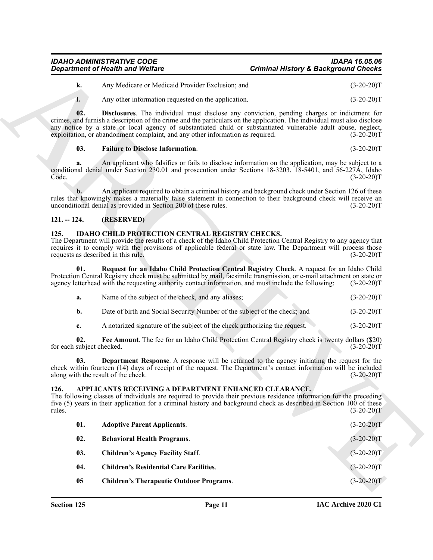| IDAHO ADMINISTRATIVE CODE               | IDAPA 16.05.06                                  |
|-----------------------------------------|-------------------------------------------------|
| <b>Department of Health and Welfare</b> | <b>Criminal History &amp; Background Checks</b> |

<span id="page-10-10"></span><span id="page-10-9"></span>

| <b>k.</b> | Any Medicare or Medicaid Provider Exclusion: and | $(3-20-20)T$ |
|-----------|--------------------------------------------------|--------------|
|           |                                                  |              |

### <span id="page-10-0"></span>**121. -- 124. (RESERVED)**

### <span id="page-10-11"></span><span id="page-10-1"></span>**125. IDAHO CHILD PROTECTION CENTRAL REGISTRY CHECKS.**

<span id="page-10-14"></span><span id="page-10-13"></span>

| а. | Name of the subject of the check, and any aliases;                        | $(3-20-20)T$ |
|----|---------------------------------------------------------------------------|--------------|
|    | Date of birth and Social Security Number of the subject of the check; and | $(3-20-20)T$ |

### <span id="page-10-12"></span><span id="page-10-8"></span><span id="page-10-7"></span><span id="page-10-6"></span><span id="page-10-5"></span><span id="page-10-4"></span><span id="page-10-3"></span><span id="page-10-2"></span>**126. APPLICANTS RECEIVING A DEPARTMENT ENHANCED CLEARANCE.**

|                                  | <b>Department of Health and Welfare</b>                                                                                                                                                                                                                                                                                                                                                                                     | <b>Criminal History &amp; Background Checks</b> |              |
|----------------------------------|-----------------------------------------------------------------------------------------------------------------------------------------------------------------------------------------------------------------------------------------------------------------------------------------------------------------------------------------------------------------------------------------------------------------------------|-------------------------------------------------|--------------|
| k.                               | Any Medicare or Medicaid Provider Exclusion; and                                                                                                                                                                                                                                                                                                                                                                            |                                                 | $(3-20-20)T$ |
| l.                               | Any other information requested on the application.                                                                                                                                                                                                                                                                                                                                                                         |                                                 | $(3-20-20)T$ |
| 02.                              | Disclosures. The individual must disclose any conviction, pending charges or indictment for<br>crimes, and furnish a description of the crime and the particulars on the application. The individual must also disclose<br>any notice by a state or local agency of substantiated child or substantiated vulnerable adult abuse, neglect,<br>exploitation, or abandonment complaint, and any other information as required. |                                                 | $(3-20-20)T$ |
| 03.                              | <b>Failure to Disclose Information.</b>                                                                                                                                                                                                                                                                                                                                                                                     |                                                 | $(3-20-20)T$ |
| a.<br>Code.                      | An applicant who falsifies or fails to disclose information on the application, may be subject to a<br>conditional denial under Section 230.01 and prosecution under Sections 18-3203, 18-5401, and 56-227A, Idaho                                                                                                                                                                                                          |                                                 | $(3-20-20)T$ |
| b.                               | An applicant required to obtain a criminal history and background check under Section 126 of these<br>rules that knowingly makes a materially false statement in connection to their background check will receive an<br>unconditional denial as provided in Section 200 of these rules.                                                                                                                                    |                                                 | $(3-20-20)T$ |
| $121. - 124.$                    | (RESERVED)                                                                                                                                                                                                                                                                                                                                                                                                                  |                                                 |              |
| 125.                             | <b>IDAHO CHILD PROTECTION CENTRAL REGISTRY CHECKS.</b><br>The Department will provide the results of a check of the Idaho Child Protection Central Registry to any agency that<br>requires it to comply with the provisions of applicable federal or state law. The Department will process those<br>requests as described in this rule.                                                                                    |                                                 | $(3-20-20)T$ |
| 01.                              | Request for an Idaho Child Protection Central Registry Check. A request for an Idaho Child<br>Protection Central Registry check must be submitted by mail, facsimile transmission, or e-mail attachment on state or<br>agency letterhead with the requesting authority contact information, and must include the following:                                                                                                 |                                                 | $(3-20-20)T$ |
| a.                               | Name of the subject of the check, and any aliases;                                                                                                                                                                                                                                                                                                                                                                          |                                                 | $(3-20-20)T$ |
| b.                               | Date of birth and Social Security Number of the subject of the check; and                                                                                                                                                                                                                                                                                                                                                   |                                                 | $(3-20-20)T$ |
| c.                               | A notarized signature of the subject of the check authorizing the request.                                                                                                                                                                                                                                                                                                                                                  |                                                 | $(3-20-20)T$ |
| 02.<br>for each subject checked. | Fee Amount. The fee for an Idaho Child Protection Central Registry check is twenty dollars (\$20)                                                                                                                                                                                                                                                                                                                           |                                                 | $(3-20-20)T$ |
| 03.                              | <b>Department Response.</b> A response will be returned to the agency initiating the request for the<br>check within fourteen (14) days of receipt of the request. The Department's contact information will be included<br>along with the result of the check.                                                                                                                                                             |                                                 | $(3-20-20)T$ |
| 126.<br>rules.                   | APPLICANTS RECEIVING A DEPARTMENT ENHANCED CLEARANCE.<br>The following classes of individuals are required to provide their previous residence information for the preceding<br>five (5) years in their application for a criminal history and background check as described in Section 100 of these                                                                                                                        |                                                 | $(3-20-20)T$ |
| 01.                              | <b>Adoptive Parent Applicants.</b>                                                                                                                                                                                                                                                                                                                                                                                          |                                                 | $(3-20-20)T$ |
| 02.                              | <b>Behavioral Health Programs.</b>                                                                                                                                                                                                                                                                                                                                                                                          |                                                 | $(3-20-20)T$ |
| 03.                              | <b>Children's Agency Facility Staff.</b>                                                                                                                                                                                                                                                                                                                                                                                    |                                                 | $(3-20-20)T$ |
| 04.                              | <b>Children's Residential Care Facilities.</b>                                                                                                                                                                                                                                                                                                                                                                              |                                                 | $(3-20-20)T$ |
|                                  |                                                                                                                                                                                                                                                                                                                                                                                                                             |                                                 |              |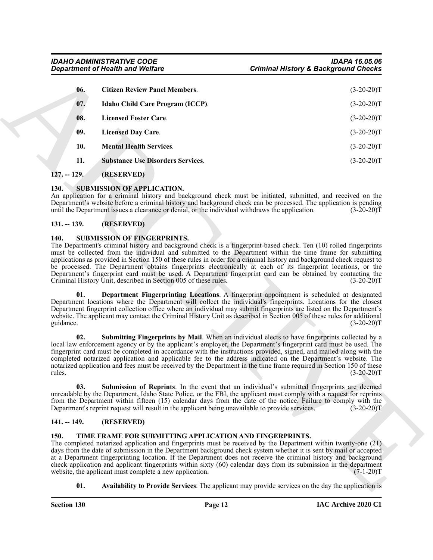<span id="page-11-6"></span>

| <b>Citizen Review Panel Members.</b><br>06.<br>07.<br>Idaho Child Care Program (ICCP).<br>08.<br><b>Licensed Foster Care.</b><br>09.<br><b>Licensed Day Care.</b><br>10.<br><b>Mental Health Services.</b><br>11.<br><b>Substance Use Disorders Services.</b><br>$127. - 129.$<br>(RESERVED)<br><b>SUBMISSION OF APPLICATION.</b><br>130.<br>An application for a criminal history and background check must be initiated, submitted, and received on the<br>Department's website before a criminal history and background check can be processed. The application is pending<br>until the Department issues a clearance or denial, or the individual withdraws the application.<br>$131. - 139.$<br>(RESERVED)<br>140.<br><b>SUBMISSION OF FINGERPRINTS.</b><br>The Department's criminal history and background check is a fingerprint-based check. Ten (10) rolled fingerprints<br>must be collected from the individual and submitted to the Department within the time frame for submitting<br>applications as provided in Section 150 of these rules in order for a criminal history and background check request to<br>be processed. The Department obtains fingerprints electronically at each of its fingerprint locations, or the<br>Department's fingerprint card must be used. A Department fingerprint card can be obtained by contacting the<br>Criminal History Unit, described in Section 005 of these rules.<br>Department Fingerprinting Locations. A fingerprint appointment is scheduled at designated<br>01.<br>Department locations where the Department will collect the individual's fingerprints. Locations for the closest<br>Department fingerprint collection office where an individual may submit fingerprints are listed on the Department's<br>website. The applicant may contact the Criminal History Unit as described in Section 005 of these rules for additional<br>guidance. | $(3-20-20)T$<br>$(3-20-20)T$<br>$(3-20-20)T$<br>$(3-20-20)T$<br>$(3-20-20)T$<br>$(3-20-20)T$<br>$(3-20-20)T$ |
|--------------------------------------------------------------------------------------------------------------------------------------------------------------------------------------------------------------------------------------------------------------------------------------------------------------------------------------------------------------------------------------------------------------------------------------------------------------------------------------------------------------------------------------------------------------------------------------------------------------------------------------------------------------------------------------------------------------------------------------------------------------------------------------------------------------------------------------------------------------------------------------------------------------------------------------------------------------------------------------------------------------------------------------------------------------------------------------------------------------------------------------------------------------------------------------------------------------------------------------------------------------------------------------------------------------------------------------------------------------------------------------------------------------------------------------------------------------------------------------------------------------------------------------------------------------------------------------------------------------------------------------------------------------------------------------------------------------------------------------------------------------------------------------------------------------------------------------------------------------------------------------------------------------------|--------------------------------------------------------------------------------------------------------------|
|                                                                                                                                                                                                                                                                                                                                                                                                                                                                                                                                                                                                                                                                                                                                                                                                                                                                                                                                                                                                                                                                                                                                                                                                                                                                                                                                                                                                                                                                                                                                                                                                                                                                                                                                                                                                                                                                                                                    |                                                                                                              |
|                                                                                                                                                                                                                                                                                                                                                                                                                                                                                                                                                                                                                                                                                                                                                                                                                                                                                                                                                                                                                                                                                                                                                                                                                                                                                                                                                                                                                                                                                                                                                                                                                                                                                                                                                                                                                                                                                                                    |                                                                                                              |
|                                                                                                                                                                                                                                                                                                                                                                                                                                                                                                                                                                                                                                                                                                                                                                                                                                                                                                                                                                                                                                                                                                                                                                                                                                                                                                                                                                                                                                                                                                                                                                                                                                                                                                                                                                                                                                                                                                                    |                                                                                                              |
|                                                                                                                                                                                                                                                                                                                                                                                                                                                                                                                                                                                                                                                                                                                                                                                                                                                                                                                                                                                                                                                                                                                                                                                                                                                                                                                                                                                                                                                                                                                                                                                                                                                                                                                                                                                                                                                                                                                    |                                                                                                              |
|                                                                                                                                                                                                                                                                                                                                                                                                                                                                                                                                                                                                                                                                                                                                                                                                                                                                                                                                                                                                                                                                                                                                                                                                                                                                                                                                                                                                                                                                                                                                                                                                                                                                                                                                                                                                                                                                                                                    |                                                                                                              |
|                                                                                                                                                                                                                                                                                                                                                                                                                                                                                                                                                                                                                                                                                                                                                                                                                                                                                                                                                                                                                                                                                                                                                                                                                                                                                                                                                                                                                                                                                                                                                                                                                                                                                                                                                                                                                                                                                                                    |                                                                                                              |
|                                                                                                                                                                                                                                                                                                                                                                                                                                                                                                                                                                                                                                                                                                                                                                                                                                                                                                                                                                                                                                                                                                                                                                                                                                                                                                                                                                                                                                                                                                                                                                                                                                                                                                                                                                                                                                                                                                                    |                                                                                                              |
|                                                                                                                                                                                                                                                                                                                                                                                                                                                                                                                                                                                                                                                                                                                                                                                                                                                                                                                                                                                                                                                                                                                                                                                                                                                                                                                                                                                                                                                                                                                                                                                                                                                                                                                                                                                                                                                                                                                    |                                                                                                              |
|                                                                                                                                                                                                                                                                                                                                                                                                                                                                                                                                                                                                                                                                                                                                                                                                                                                                                                                                                                                                                                                                                                                                                                                                                                                                                                                                                                                                                                                                                                                                                                                                                                                                                                                                                                                                                                                                                                                    |                                                                                                              |
|                                                                                                                                                                                                                                                                                                                                                                                                                                                                                                                                                                                                                                                                                                                                                                                                                                                                                                                                                                                                                                                                                                                                                                                                                                                                                                                                                                                                                                                                                                                                                                                                                                                                                                                                                                                                                                                                                                                    | $(3-20-20)T$                                                                                                 |
|                                                                                                                                                                                                                                                                                                                                                                                                                                                                                                                                                                                                                                                                                                                                                                                                                                                                                                                                                                                                                                                                                                                                                                                                                                                                                                                                                                                                                                                                                                                                                                                                                                                                                                                                                                                                                                                                                                                    | $(3-20-20)T$                                                                                                 |
| Submitting Fingerprints by Mail. When an individual elects to have fingerprints collected by a<br>02.<br>local law enforcement agency or by the applicant's employer, the Department's fingerprint card must be used. The<br>fingerprint card must be completed in accordance with the instructions provided, signed, and mailed along with the<br>completed notarized application and applicable fee to the address indicated on the Department's website. The<br>notarized application and fees must be received by the Department in the time frame required in Section 150 of these<br>rules.                                                                                                                                                                                                                                                                                                                                                                                                                                                                                                                                                                                                                                                                                                                                                                                                                                                                                                                                                                                                                                                                                                                                                                                                                                                                                                                  | $(3-20-20)T$                                                                                                 |
| 03.<br>Submission of Reprints. In the event that an individual's submitted fingerprints are deemed<br>unreadable by the Department, Idaho State Police, or the FBI, the applicant must comply with a request for reprints<br>from the Department within fifteen (15) calendar days from the date of the notice. Failure to comply with the<br>Department's reprint request will result in the applicant being unavailable to provide services.                                                                                                                                                                                                                                                                                                                                                                                                                                                                                                                                                                                                                                                                                                                                                                                                                                                                                                                                                                                                                                                                                                                                                                                                                                                                                                                                                                                                                                                                     | $(3-20-20)T$                                                                                                 |
| $141. - 149.$<br>(RESERVED)                                                                                                                                                                                                                                                                                                                                                                                                                                                                                                                                                                                                                                                                                                                                                                                                                                                                                                                                                                                                                                                                                                                                                                                                                                                                                                                                                                                                                                                                                                                                                                                                                                                                                                                                                                                                                                                                                        |                                                                                                              |
| 150.<br>TIME FRAME FOR SUBMITTING APPLICATION AND FINGERPRINTS.<br>The completed notarized application and fingerprints must be received by the Department within twenty-one (21)<br>days from the date of submission in the Department background check system whether it is sent by mail or accepted<br>at a Department fingerprinting location. If the Department does not receive the criminal history and background<br>check application and applicant fingerprints within sixty (60) calendar days from its submission in the department<br>website, the applicant must complete a new application.                                                                                                                                                                                                                                                                                                                                                                                                                                                                                                                                                                                                                                                                                                                                                                                                                                                                                                                                                                                                                                                                                                                                                                                                                                                                                                         |                                                                                                              |
| 01.<br>Availability to Provide Services. The applicant may provide services on the day the application is                                                                                                                                                                                                                                                                                                                                                                                                                                                                                                                                                                                                                                                                                                                                                                                                                                                                                                                                                                                                                                                                                                                                                                                                                                                                                                                                                                                                                                                                                                                                                                                                                                                                                                                                                                                                          | $(7-1-20)T$                                                                                                  |

### <span id="page-11-11"></span><span id="page-11-10"></span><span id="page-11-9"></span><span id="page-11-8"></span><span id="page-11-7"></span><span id="page-11-0"></span>**127. -- 129. (RESERVED)**

### <span id="page-11-12"></span><span id="page-11-1"></span>**130. SUBMISSION OF APPLICATION.**

### <span id="page-11-2"></span>**131. -- 139. (RESERVED)**

### <span id="page-11-14"></span><span id="page-11-13"></span><span id="page-11-3"></span>**140. SUBMISSION OF FINGERPRINTS.**

### <span id="page-11-16"></span><span id="page-11-15"></span><span id="page-11-4"></span>**141. -- 149. (RESERVED)**

### <span id="page-11-18"></span><span id="page-11-17"></span><span id="page-11-5"></span>**150. TIME FRAME FOR SUBMITTING APPLICATION AND FINGERPRINTS.**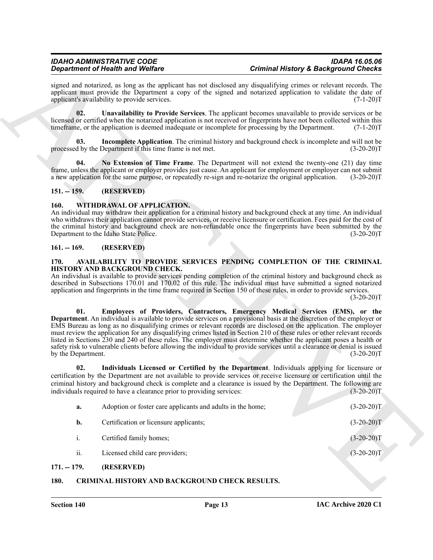### <span id="page-12-12"></span><span id="page-12-11"></span><span id="page-12-10"></span><span id="page-12-0"></span>**151. -- 159. (RESERVED)**

### <span id="page-12-13"></span><span id="page-12-1"></span>**160. WITHDRAWAL OF APPLICATION.**

### <span id="page-12-2"></span>**161. -- 169. (RESERVED)**

### <span id="page-12-8"></span><span id="page-12-7"></span><span id="page-12-6"></span><span id="page-12-3"></span>**170. AVAILABILITY TO PROVIDE SERVICES PENDING COMPLETION OF THE CRIMINAL HISTORY AND BACKGROUND CHECK.**

|                           | <b>Department of Health and Welfare</b>                                                                 | <b>Criminal History &amp; Background Checks</b>                                                                                                                                                                                                                                                                                                                                                                                                                                                                                                                                                                                                                                                                                                                                                                                                                                                                                                                                                                                                                                   |                              |
|---------------------------|---------------------------------------------------------------------------------------------------------|-----------------------------------------------------------------------------------------------------------------------------------------------------------------------------------------------------------------------------------------------------------------------------------------------------------------------------------------------------------------------------------------------------------------------------------------------------------------------------------------------------------------------------------------------------------------------------------------------------------------------------------------------------------------------------------------------------------------------------------------------------------------------------------------------------------------------------------------------------------------------------------------------------------------------------------------------------------------------------------------------------------------------------------------------------------------------------------|------------------------------|
|                           | applicant's availability to provide services.                                                           | signed and notarized, as long as the applicant has not disclosed any disqualifying crimes or relevant records. The<br>applicant must provide the Department a copy of the signed and notarized application to validate the date of                                                                                                                                                                                                                                                                                                                                                                                                                                                                                                                                                                                                                                                                                                                                                                                                                                                | $(7-1-20)T$                  |
| 02.                       | timeframe, or the application is deemed inadequate or incomplete for processing by the Department.      | Unavailability to Provide Services. The applicant becomes unavailable to provide services or be<br>licensed or certified when the notarized application is not received or fingerprints have not been collected within this                                                                                                                                                                                                                                                                                                                                                                                                                                                                                                                                                                                                                                                                                                                                                                                                                                                       | $(7-1-20)T$                  |
| 03.                       | processed by the Department if this time frame is not met.                                              | <b>Incomplete Application</b> . The criminal history and background check is incomplete and will not be                                                                                                                                                                                                                                                                                                                                                                                                                                                                                                                                                                                                                                                                                                                                                                                                                                                                                                                                                                           | $(3-20-20)T$                 |
| 04.                       | a new application for the same purpose, or repeatedly re-sign and re-notarize the original application. | No Extension of Time Frame. The Department will not extend the twenty-one (21) day time<br>frame, unless the applicant or employer provides just cause. An applicant for employment or employer can not submit                                                                                                                                                                                                                                                                                                                                                                                                                                                                                                                                                                                                                                                                                                                                                                                                                                                                    | $(3-20-20)T$                 |
| $151. - 159.$             | (RESERVED)                                                                                              |                                                                                                                                                                                                                                                                                                                                                                                                                                                                                                                                                                                                                                                                                                                                                                                                                                                                                                                                                                                                                                                                                   |                              |
| 160.                      | WITHDRAWAL OF APPLICATION.<br>Department to the Idaho State Police.                                     | An individual may withdraw their application for a criminal history and background check at any time. An individual<br>who withdraws their application cannot provide services, or receive licensure or certification. Fees paid for the cost of<br>the criminal history and background check are non-refundable once the fingerprints have been submitted by the                                                                                                                                                                                                                                                                                                                                                                                                                                                                                                                                                                                                                                                                                                                 | $(3-20-20)T$                 |
| $161. - 169.$             | (RESERVED)                                                                                              |                                                                                                                                                                                                                                                                                                                                                                                                                                                                                                                                                                                                                                                                                                                                                                                                                                                                                                                                                                                                                                                                                   |                              |
| 01.<br>by the Department. | HISTORY AND BACKGROUND CHECK.                                                                           | An individual is available to provide services pending completion of the criminal history and background check as<br>described in Subsections 170.01 and 170.02 of this rule. The individual must have submitted a signed notarized<br>application and fingerprints in the time frame required in Section 150 of these rules, in order to provide services.<br>Employees of Providers, Contractors, Emergency Medical Services (EMS), or the<br><b>Department</b> . An individual is available to provide services on a provisional basis at the discretion of the employer or<br>EMS Bureau as long as no disqualifying crimes or relevant records are disclosed on the application. The employer<br>must review the application for any disqualifying crimes listed in Section 210 of these rules or other relevant records<br>listed in Sections 230 and 240 of these rules. The employer must determine whether the applicant poses a health or<br>safety risk to vulnerable clients before allowing the individual to provide services until a clearance or denial is issued | $(3-20-20)T$<br>$(3-20-20)T$ |
| 02.                       | individuals required to have a clearance prior to providing services:                                   | Individuals Licensed or Certified by the Department. Individuals applying for licensure or<br>certification by the Department are not available to provide services or receive licensure or certification until the<br>criminal history and background check is complete and a clearance is issued by the Department. The following are                                                                                                                                                                                                                                                                                                                                                                                                                                                                                                                                                                                                                                                                                                                                           | $(3-20-20)T$                 |
| a.                        | Adoption or foster care applicants and adults in the home;                                              |                                                                                                                                                                                                                                                                                                                                                                                                                                                                                                                                                                                                                                                                                                                                                                                                                                                                                                                                                                                                                                                                                   | $(3-20-20)T$                 |
| b.                        | Certification or licensure applicants;                                                                  |                                                                                                                                                                                                                                                                                                                                                                                                                                                                                                                                                                                                                                                                                                                                                                                                                                                                                                                                                                                                                                                                                   | $(3-20-20)T$                 |
| $\mathbf{i}$ .            | Certified family homes;                                                                                 |                                                                                                                                                                                                                                                                                                                                                                                                                                                                                                                                                                                                                                                                                                                                                                                                                                                                                                                                                                                                                                                                                   | $(3-20-20)T$                 |
|                           |                                                                                                         |                                                                                                                                                                                                                                                                                                                                                                                                                                                                                                                                                                                                                                                                                                                                                                                                                                                                                                                                                                                                                                                                                   |                              |
| ii.                       | Licensed child care providers;                                                                          |                                                                                                                                                                                                                                                                                                                                                                                                                                                                                                                                                                                                                                                                                                                                                                                                                                                                                                                                                                                                                                                                                   | $(3-20-20)T$                 |

# <span id="page-12-9"></span><span id="page-12-5"></span><span id="page-12-4"></span>**180. CRIMINAL HISTORY AND BACKGROUND CHECK RESULTS.**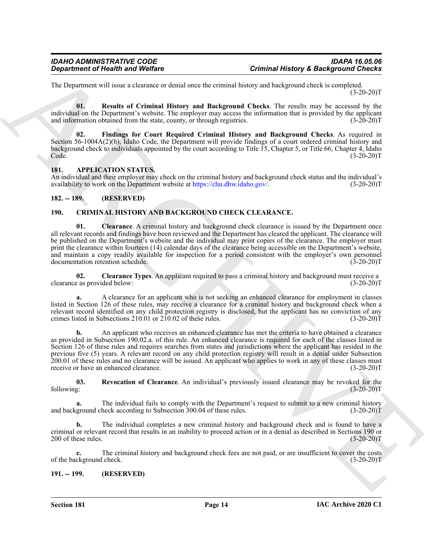The Department will issue a clearance or denial once the criminal history and background check is completed.  $(3-20-20)T$ 

<span id="page-13-10"></span>**01. Results of Criminal History and Background Checks**. The results may be accessed by the individual on the Department's website. The employer may access the information that is provided by the applicant and information obtained from the state, county, or through registries. (3-20-20)T

<span id="page-13-9"></span>**02. Findings for Court Required Criminal History and Background Checks**. As required in Section 56-1004A(2)(b), Idaho Code, the Department will provide findings of a court ordered criminal history and background check to individuals appointed by the court according to Title 15, Chapter 5, or Title 66, Chapter 4, Idaho Code.  $\text{Code.}$  (3-20-20)T

### <span id="page-13-4"></span><span id="page-13-0"></span>**181. APPLICATION STATUS.**

An individual and their employer may check on the criminal history and background check status and the individual's availability to work on the Department website at https://chu.dhw.idaho.gov/. (3-20-20)T

### <span id="page-13-1"></span>**182. -- 189. (RESERVED)**

### <span id="page-13-6"></span><span id="page-13-5"></span><span id="page-13-2"></span>**190. CRIMINAL HISTORY AND BACKGROUND CHECK CLEARANCE.**

**01. Clearance**. A criminal history and background check clearance is issued by the Department once all relevant records and findings have been reviewed and the Department has cleared the applicant. The clearance will be published on the Department's website and the individual may print copies of the clearance. The employer must print the clearance within fourteen (14) calendar days of the clearance being accessible on the Department's website, and maintain a copy readily available for inspection for a period consistent with the employer's own personnel documentation retention schedule.

<span id="page-13-7"></span>**02. Clearance Types**. An applicant required to pass a criminal history and background must receive a clearance as provided below:

**a.** A clearance for an applicant who is not seeking an enhanced clearance for employment in classes listed in Section 126 of these rules, may receive a clearance for a criminal history and background check when a relevant record identified on any child protection registry is disclosed, but the applicant has no conviction of any crimes listed in Subsections 210.01 or 210.02 of these rules. (3-20-20)T

*Great friends of Health Sind* **Wolfrey<br>
11: Dependent of Western order to consider the consideration and the state of the state of the state of the state of the state of the state of the state of the state of the state o b.** An applicant who receives an enhanced clearance has met the criteria to have obtained a clearance as provided in Subsection 190.02.a. of this rule. An enhanced clearance is required for each of the classes listed in Section 126 of these rules and requires searches from states and jurisdictions where the applicant has resided in the previous five (5) years. A relevant record on any child protection registry will result in a denial under Subsection 200.01 of these rules and no clearance will be issued. An applicant who applies to work in any of these classes must receive or have an enhanced clearance. (3-20-20)T

<span id="page-13-8"></span>**03.** Revocation of Clearance. An individual's previously issued clearance may be revoked for the following:  $(3-20-20)T$ following: (3-20-20)T

**a.** The individual fails to comply with the Department's request to submit to a new criminal history and background check according to Subsection 300.04 of these rules. (3-20-20)T

**b.** The individual completes a new criminal history and background check and is found to have a criminal or relevant record that results in an inability to proceed action or in a denial as described in Sections 190 or  $200$  of these rules. (3-20-20)T

**c.** The criminal history and background check fees are not paid, or are insufficient to cover the costs of the background check. (3-20-20)T

### <span id="page-13-3"></span>**191. -- 199. (RESERVED)**

**Section 181 Page 14**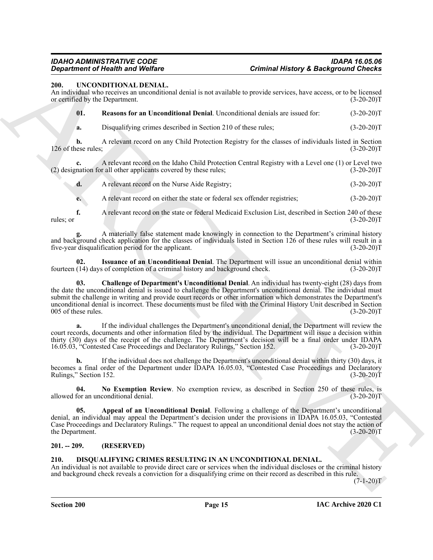### <span id="page-14-4"></span><span id="page-14-0"></span>**200. UNCONDITIONAL DENIAL.**

An individual who receives an unconditional denial is not available to provide services, have access, or to be licensed or certified by the Department. (3-20-20)T

<span id="page-14-9"></span>**01. Reasons for an Unconditional Denial**. Unconditional denials are issued for: (3-20-20)T

**a.** Disqualifying crimes described in Section 210 of these rules; (3-20-20)T

**b.** A relevant record on any Child Protection Registry for the classes of individuals listed in Section 126 of these rules; (3-20-20)T

**c.** A relevant record on the Idaho Child Protection Central Registry with a Level one (1) or Level two nation for all other applicants covered by these rules; (3-20-20)  $(2)$  designation for all other applicants covered by these rules;

**d.** A relevant record on the Nurse Aide Registry; (3-20-20)T

**e.** A relevant record on either the state or federal sex offender registries; (3-20-20)T

**f.** A relevant record on the state or federal Medicaid Exclusion List, described in Section 240 of these (3-20-20) rules; or  $(3-20-20)T$ 

**g.** A materially false statement made knowingly in connection to the Department's criminal history and background check application for the classes of individuals listed in Section 126 of these rules will result in a five-year disqualification period for the applicant. (3-20-20)T

<span id="page-14-7"></span><span id="page-14-6"></span>**02. Issuance of an Unconditional Denial**. The Department will issue an unconditional denial within fourteen (14) days of completion of a criminal history and background check. (3-20-20)T

**Continue of New York Discussions**<br> **Continue of New York DENA L.**<br>
2011 **DENA L.**<br>
2011 **CONSERVATE ANTIFORM INTERNATIONAL CONSERVATE CONSERVATE ANTIFORM CONSERVATE CONSERVATE CONSERVATE CONSERVATE CONSERVATE CONSERVATE 03. Challenge of Department's Unconditional Denial**. An individual has twenty-eight (28) days from the date the unconditional denial is issued to challenge the Department's unconditional denial. The individual must submit the challenge in writing and provide court records or other information which demonstrates the Department's unconditional denial is incorrect. These documents must be filed with the Criminal History Unit described in Section 005 of these rules. (3-20-20)T

**a.** If the individual challenges the Department's unconditional denial, the Department will review the court records, documents and other information filed by the individual. The Department will issue a decision within thirty (30) days of the receipt of the challenge. The Department's decision will be a final order under IDAPA 16.05.03, "Contested Case Proceedings and Declaratory Rulings," Section 152. (3-20-20)T

**b.** If the individual does not challenge the Department's unconditional denial within thirty (30) days, it becomes a final order of the Department under IDAPA 16.05.03, "Contested Case Proceedings and Declaratory Rulings," Section 152. (3-20-20)T

<span id="page-14-8"></span>**04. No Exemption Review**. No exemption review, as described in Section 250 of these rules, is allowed for an unconditional denial. (3-20-20)T

<span id="page-14-5"></span>**05. Appeal of an Unconditional Denial**. Following a challenge of the Department's unconditional denial, an individual may appeal the Department's decision under the provisions in IDAPA 16.05.03, "Contested Case Proceedings and Declaratory Rulings." The request to appeal an unconditional denial does not stay the action of the Department.

### <span id="page-14-1"></span>**201. -- 209. (RESERVED)**

### <span id="page-14-3"></span><span id="page-14-2"></span>**210. DISQUALIFYING CRIMES RESULTING IN AN UNCONDITIONAL DENIAL.**

An individual is not available to provide direct care or services when the individual discloses or the criminal history and background check reveals a conviction for a disqualifying crime on their record as described in this rule.

 $(7 - 1 - 20)T$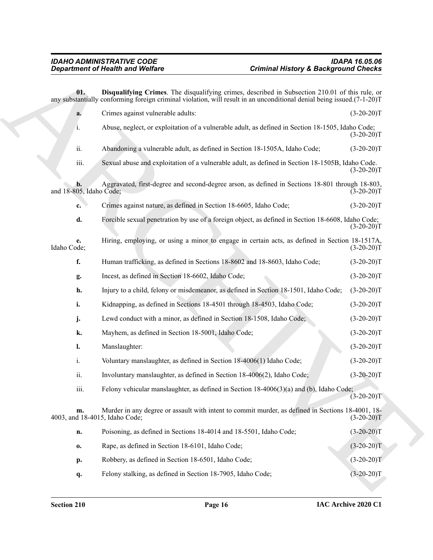<span id="page-15-0"></span>**Constrained Window Wedlers**<br> **Constrained Window Microsoft Constrained Constrained Constrained Constrained Constrained Constrained Constrained Constrained Constrained Constrained Constrained Constrained Constrained Const 01. Disqualifying Crimes**. The disqualifying crimes, described in Subsection 210.01 of this rule, or any substantially conforming foreign criminal violation, will result in an unconditional denial being issued.(7-1-20)T **a.** Crimes against vulnerable adults: (3-20-20)T i. Abuse, neglect, or exploitation of a vulnerable adult, as defined in Section 18-1505, Idaho Code;  $(3-20-20)T$ ii. Abandoning a vulnerable adult, as defined in Section 18-1505A, Idaho Code; (3-20-20)T iii. Sexual abuse and exploitation of a vulnerable adult, as defined in Section 18-1505B, Idaho Code.  $(3-20-20)T$ **b.** Aggravated, first-degree and second-degree arson, as defined in Sections 18-801 through 18-803, and  $18-805$ , Idaho Code; **c.** Crimes against nature, as defined in Section 18-6605, Idaho Code; (3-20-20)T **d.** Forcible sexual penetration by use of a foreign object, as defined in Section 18-6608, Idaho Code;  $(3-20-20)T$ **e.** Hiring, employing, or using a minor to engage in certain acts, as defined in Section 18-1517A, Idaho Code; (3-20-20)T **f.** Human trafficking, as defined in Sections 18-8602 and 18-8603, Idaho Code;  $(3-20-20)T$ **g.** Incest, as defined in Section 18-6602, Idaho Code; (3-20-20)T **h.** Injury to a child, felony or misdemeanor, as defined in Section 18-1501, Idaho Code;  $(3-20-20)T$ **i.** Kidnapping, as defined in Sections 18-4501 through 18-4503, Idaho Code;  $(3-20-20)T$ **j.** Lewd conduct with a minor, as defined in Section 18-1508, Idaho Code; (3-20-20)T **k.** Mayhem, as defined in Section 18-5001, Idaho Code; (3-20-20)T **l.** Manslaughter: (3-20-20)T i. Voluntary manslaughter, as defined in Section 18-4006(1) Idaho Code; (3-20-20)T ii. Involuntary manslaughter, as defined in Section 18-4006(2), Idaho Code; (3-20-20)T iii. Felony vehicular manslaughter, as defined in Section 18-4006(3)(a) and (b), Idaho Code;  $(3-20-20)T$ **m.** Murder in any degree or assault with intent to commit murder, as defined in Sections 18-4001, 18- 4003, and 18-4015, Idaho Code; (3-20-20)T **n.** Poisoning, as defined in Sections 18-4014 and 18-5501, Idaho Code; (3-20-20)T **o.** Rape, as defined in Section 18-6101, Idaho Code; (3-20-20)T **p.** Robbery, as defined in Section 18-6501, Idaho Code; (3-20-20)T **q.** Felony stalking, as defined in Section 18-7905, Idaho Code; (3-20-20)T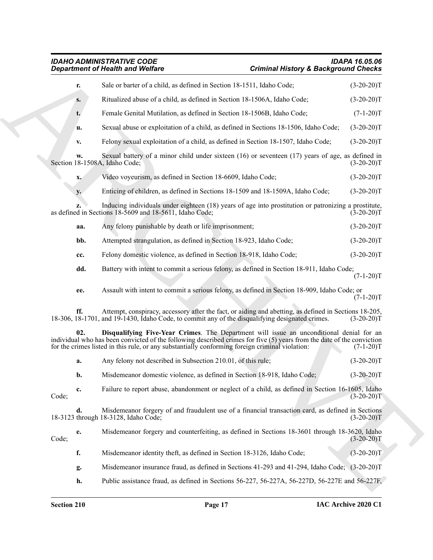## <span id="page-16-0"></span>*IDAHO ADMINISTRATIVE CODE IDAPA 16.05.06 Department of Health and Welfare Criminal History & Background Checks*

|               | <b>Department of Health and Welfare</b>                                                                                                                                                                                                                                                                                 | <b>Criminal History &amp; Background Checks</b> |                                                                                                |
|---------------|-------------------------------------------------------------------------------------------------------------------------------------------------------------------------------------------------------------------------------------------------------------------------------------------------------------------------|-------------------------------------------------|------------------------------------------------------------------------------------------------|
| r.            | Sale or barter of a child, as defined in Section 18-1511, Idaho Code;                                                                                                                                                                                                                                                   |                                                 | $(3-20-20)T$                                                                                   |
| $S_{\bullet}$ | Ritualized abuse of a child, as defined in Section 18-1506A, Idaho Code;                                                                                                                                                                                                                                                |                                                 | $(3-20-20)T$                                                                                   |
| t.            | Female Genital Mutilation, as defined in Section 18-1506B, Idaho Code;                                                                                                                                                                                                                                                  |                                                 | $(7-1-20)T$                                                                                    |
| u.            | Sexual abuse or exploitation of a child, as defined in Sections 18-1506, Idaho Code;                                                                                                                                                                                                                                    |                                                 | $(3-20-20)T$                                                                                   |
| v.            | Felony sexual exploitation of a child, as defined in Section 18-1507, Idaho Code;                                                                                                                                                                                                                                       |                                                 | $(3-20-20)T$                                                                                   |
| W.            | Sexual battery of a minor child under sixteen $(16)$ or seventeen $(17)$ years of age, as defined in<br>Section 18-1508A, Idaho Code;                                                                                                                                                                                   |                                                 | $(3-20-20)T$                                                                                   |
| x.            | Video voyeurism, as defined in Section 18-6609, Idaho Code;                                                                                                                                                                                                                                                             |                                                 | $(3-20-20)T$                                                                                   |
| <b>y.</b>     | Enticing of children, as defined in Sections 18-1509 and 18-1509A, Idaho Code;                                                                                                                                                                                                                                          |                                                 | $(3-20-20)T$                                                                                   |
| Z.            | Inducing individuals under eighteen (18) years of age into prostitution or patronizing a prostitute,<br>as defined in Sections 18-5609 and 18-5611, Idaho Code;                                                                                                                                                         |                                                 | $(3-20-20)T$                                                                                   |
| aa.           | Any felony punishable by death or life imprisonment;                                                                                                                                                                                                                                                                    |                                                 | $(3-20-20)T$                                                                                   |
| bb.           | Attempted strangulation, as defined in Section 18-923, Idaho Code;                                                                                                                                                                                                                                                      |                                                 | $(3-20-20)T$                                                                                   |
| cc.           | Felony domestic violence, as defined in Section 18-918, Idaho Code;                                                                                                                                                                                                                                                     |                                                 | $(3-20-20)T$                                                                                   |
| dd.           | Battery with intent to commit a serious felony, as defined in Section 18-911, Idaho Code;                                                                                                                                                                                                                               |                                                 | $(7-1-20)T$                                                                                    |
| ee.           | Assault with intent to commit a serious felony, as defined in Section 18-909, Idaho Code; or                                                                                                                                                                                                                            |                                                 | $(7-1-20)T$                                                                                    |
| ff.           | Attempt, conspiracy, accessory after the fact, or aiding and abetting, as defined in Sections 18-205,<br>18-306, 18-1701, and 19-1430, Idaho Code, to commit any of the disqualifying designated crimes.                                                                                                                |                                                 | $(3-20-20)T$                                                                                   |
| 02.           | Disqualifying Five-Year Crimes. The Department will issue an unconditional denial for an<br>individual who has been convicted of the following described crimes for five $(5)$ years from the date of the conviction<br>for the crimes listed in this rule, or any substantially conforming foreign criminal violation: |                                                 | $(7-1-20)T$                                                                                    |
| a.            | Any felony not described in Subsection 210.01, of this rule;                                                                                                                                                                                                                                                            |                                                 | $(3-20-20)T$                                                                                   |
| b.            | Misdemeanor domestic violence, as defined in Section 18-918, Idaho Code;                                                                                                                                                                                                                                                |                                                 | $(3-20-20)T$                                                                                   |
| c.<br>Code;   | Failure to report abuse, abandonment or neglect of a child, as defined in Section 16-1605, Idaho                                                                                                                                                                                                                        |                                                 | $(3-20-20)$ T                                                                                  |
| d.            | Misdemeanor forgery of and fraudulent use of a financial transaction card, as defined in Sections<br>18-3123 through 18-3128, Idaho Code;                                                                                                                                                                               |                                                 | $(3-20-20)T$                                                                                   |
| e.<br>Code;   | Misdemeanor forgery and counterfeiting, as defined in Sections 18-3601 through 18-3620, Idaho                                                                                                                                                                                                                           |                                                 | $(3-20-20)T$                                                                                   |
| f.            | Misdemeanor identity theft, as defined in Section 18-3126, Idaho Code;                                                                                                                                                                                                                                                  |                                                 | $(3-20-20)T$                                                                                   |
| g.            | Misdemeanor insurance fraud, as defined in Sections 41-293 and 41-294, Idaho Code; (3-20-20)T                                                                                                                                                                                                                           |                                                 |                                                                                                |
|               |                                                                                                                                                                                                                                                                                                                         |                                                 | Public assistance fraud, as defined in Sections 56-227, 56-227A, 56-227D, 56-227E and 56-227F, |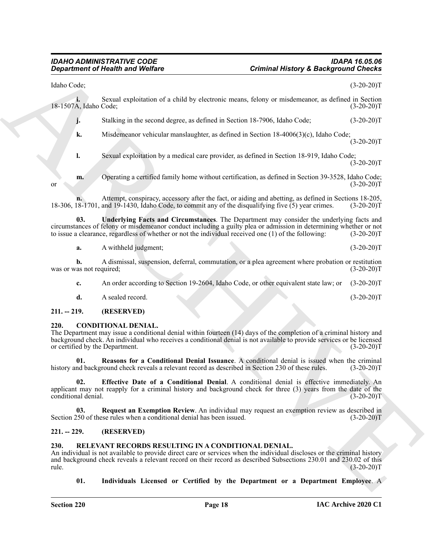$(3-20-20)T$ 

 $(3-20-20)T$ 

**Equivariant of Health and Wolfing Control Commute Mission & Background Checks<br>
Letters and reputation of a child by electronic treats, date of a victoric and 15-20-201<br>
14-150. Second reputation and deptends a state of t** Idaho Code; (3-20-20)T **i.** Sexual exploitation of a child by electronic means, felony or misdemeanor, as defined in Section A. Idaho Code: (3-20-20) 18-1507A, Idaho Code; **j.** Stalking in the second degree, as defined in Section 18-7906, Idaho Code;  $(3-20-20)T$ **k.** Misdemeanor vehicular manslaughter, as defined in Section 18-4006(3)(c), Idaho Code; **l.** Sexual exploitation by a medical care provider, as defined in Section 18-919, Idaho Code; **m.** Operating a certified family home without certification, as defined in Section 39-3528, Idaho Code; or  $(3-20-20)T$ 

**n.** Attempt, conspiracy, accessory after the fact, or aiding and abetting, as defined in Sections 18-205, 18-1701, and 19-1430, Idaho Code, to commit any of the disqualifying five (5) year crimes. (3-20-20)T 18-306, 18-1701, and 19-1430, Idaho Code, to commit any of the disqualifying five (5) year crimes.

**03. Underlying Facts and Circumstances**. The Department may consider the underlying facts and circumstances of felony or misdemeanor conduct including a guilty plea or admission in determining whether or not to issue a clearance, regardless of whether or not the individual received one  $(1)$  of the following:

<span id="page-17-8"></span>**a.** A withheld judgment; (3-20-20)T

**b.** A dismissal, suspension, deferral, commutation, or a plea agreement where probation or restitution was or was not required; (3-20-20)T

**c.** An order according to Section 19-2604, Idaho Code, or other equivalent state law; or (3-20-20)T

<span id="page-17-4"></span>**d.** A sealed record. (3-20-20)T

### <span id="page-17-0"></span>**211. -- 219. (RESERVED)**

### <span id="page-17-1"></span>**220. CONDITIONAL DENIAL.**

The Department may issue a conditional denial within fourteen (14) days of the completion of a criminal history and background check. An individual who receives a conditional denial is not available to provide services or be licensed or certified by the Department. (3-20-20)T

<span id="page-17-6"></span>**01. Reasons for a Conditional Denial Issuance**. A conditional denial is issued when the criminal history and background check reveals a relevant record as described in Section 230 of these rules. (3-20-20)T

<span id="page-17-5"></span>**02. Effective Date of a Conditional Denial**. A conditional denial is effective immediately. An applicant may not reapply for a criminal history and background check for three (3) years from the date of the conditional denial. (3-20-20)T

<span id="page-17-7"></span>**03. Request an Exemption Review**. An individual may request an exemption review as described in Section 250 of these rules when a conditional denial has been issued. (3-20-20)T

### <span id="page-17-2"></span>**221. -- 229. (RESERVED)**

### <span id="page-17-9"></span><span id="page-17-3"></span>**230. RELEVANT RECORDS RESULTING IN A CONDITIONAL DENIAL.**

An individual is not available to provide direct care or services when the individual discloses or the criminal history and background check reveals a relevant record on their record as described Subsections 230.01 and 230.02 of this  $rule.$  (3-20-20)T

<span id="page-17-10"></span>**01. Individuals Licensed or Certified by the Department or a Department Employee**. A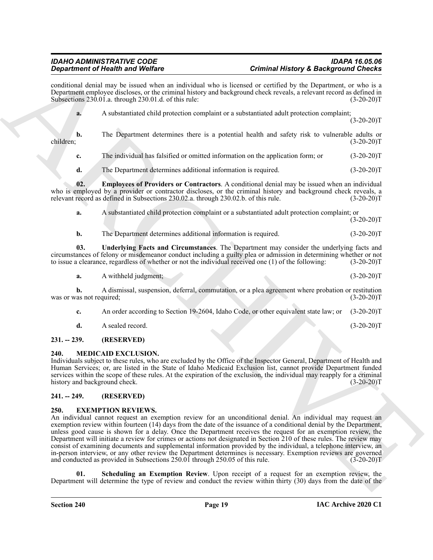conditional denial may be issued when an individual who is licensed or certified by the Department, or who is a Department employee discloses, or the criminal history and background check reveals, a relevant record as defined in Subsections 230.01.a. through 230.01.d. of this rule: (3-20-20)T

**a.** A substantiated child protection complaint or a substantiated adult protection complaint;  $(3-20-20)T$ 

**b.** The Department determines there is a potential health and safety risk to vulnerable adults or children; (3-20-20)T

**c.** The individual has falsified or omitted information on the application form; or (3-20-20)T

<span id="page-18-7"></span>**d.** The Department determines additional information is required. (3-20-20)T

**02. Employees of Providers or Contractors**. A conditional denial may be issued when an individual who is employed by a provider or contractor discloses, or the criminal history and background check reveals, a relevant record as defined in Subsections 230.02.a. through 230.02.b. of this rule. (3-20-20)T relevant record as defined in Subsections 230.02.a. through 230.02.b. of this rule.

**a.** A substantiated child protection complaint or a substantiated adult protection complaint; or  $(3-20-20)T$ 

<span id="page-18-8"></span>**b.** The Department determines additional information is required. (3-20-20)T

**03. Underlying Facts and Circumstances**. The Department may consider the underlying facts and circumstances of felony or misdemeanor conduct including a guilty plea or admission in determining whether or not to issue a clearance, regardless of whether or not the individual received one  $(1)$  of the following:

**a.** A withheld judgment; (3-20-20)T

**b.** A dismissal, suspension, deferral, commutation, or a plea agreement where probation or restitution (3-20-20) was or was not required;

- **c.** An order according to Section 19-2604, Idaho Code, or other equivalent state law; or (3-20-20)T
- <span id="page-18-6"></span>**d.** A sealed record. (3-20-20)T

### <span id="page-18-0"></span>**231. -- 239. (RESERVED)**

### <span id="page-18-1"></span>**240. MEDICAID EXCLUSION.**

Individuals subject to these rules, who are excluded by the Office of the Inspector General, Department of Health and Human Services; or, are listed in the State of Idaho Medicaid Exclusion list, cannot provide Department funded services within the scope of these rules. At the expiration of the exclusion, the individual may reapply for a criminal history and background check. (3-20-20)T

### <span id="page-18-2"></span>**241. -- 249. (RESERVED)**

### <span id="page-18-4"></span><span id="page-18-3"></span>**250. EXEMPTION REVIEWS.**

**Experimental New York Contains the United States of Contains Hall and States of the Contains Contains Contains Contains Contains Contains Contains Contains Contains Contains Contains Contains Contains Contains Contains C** An individual cannot request an exemption review for an unconditional denial. An individual may request an exemption review within fourteen (14) days from the date of the issuance of a conditional denial by the Department, unless good cause is shown for a delay. Once the Department receives the request for an exemption review, the Department will initiate a review for crimes or actions not designated in Section 210 of these rules. The review may consist of examining documents and supplemental information provided by the individual, a telephone interview, an in-person interview, or any other review the Department determines is necessary. Exemption reviews are governed and conducted as provided in Subsections 250.01 through 250.05 of this rule. (3-20-20)T

<span id="page-18-5"></span>**Scheduling an Exemption Review**. Upon receipt of a request for an exemption review, the Department will determine the type of review and conduct the review within thirty (30) days from the date of the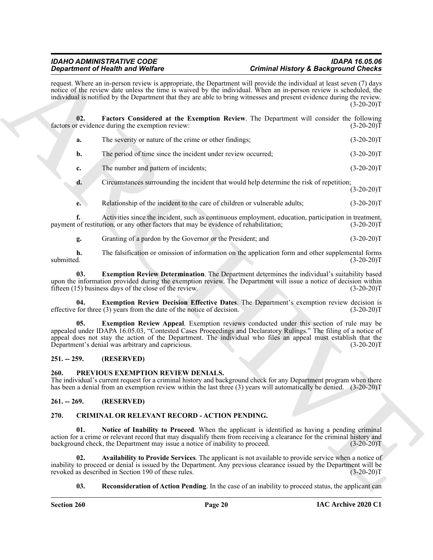<span id="page-19-11"></span>

| request. Where an in-person review is appropriate, the Department will provide the individual at least seven (7) days<br>notice of the review date unless the time is waived by the individual. When an in-person review is scheduled, the<br>individual is notified by the Department that they are able to bring witnesses and present evidence during the review.<br>02.<br>Factors Considered at the Exemption Review. The Department will consider the following<br>factors or evidence during the exemption review:<br>The severity or nature of the crime or other findings;<br>a.<br>The period of time since the incident under review occurred;<br>b.<br>The number and pattern of incidents;<br>c.<br>Circumstances surrounding the incident that would help determine the risk of repetition;<br>d.<br>Relationship of the incident to the care of children or vulnerable adults;<br>e.<br>Activities since the incident, such as continuous employment, education, participation in treatment,<br>f.<br>payment of restitution, or any other factors that may be evidence of rehabilitation;<br>Granting of a pardon by the Governor or the President; and<br>g.<br>The falsification or omission of information on the application form and other supplemental forms<br>h.<br>submitted.<br><b>Exemption Review Determination</b> . The Department determines the individual's suitability based<br>03.<br>upon the information provided during the exemption review. The Department will issue a notice of decision within<br>fifteen (15) business days of the close of the review.<br><b>Exemption Review Decision Effective Dates.</b> The Department's exemption review decision is<br>04.<br>effective for three (3) years from the date of the notice of decision.<br>Exemption Review Appeal. Exemption reviews conducted under this section of rule may be<br>05.<br>appealed under IDAPA 16.05.03, "Contested Cases Proceedings and Declaratory Rulings." The filing of a notice of<br>appeal does not stay the action of the Department. The individual who files an appeal must establish that the<br>Department's denial was arbitrary and capricious.<br>(RESERVED)<br>$251. - 259.$ | $(3-20-20)T$<br>$(3-20-20)T$<br>$(3-20-20)T$<br>$(3-20-20)T$<br>$(3-20-20)T$<br>$(3-20-20)T$<br>$(3-20-20)T$<br>$(3-20-20)T$<br>$(3-20-20)T$<br>$(3-20-20)T$<br>$(3-20-20)T$ |
|------------------------------------------------------------------------------------------------------------------------------------------------------------------------------------------------------------------------------------------------------------------------------------------------------------------------------------------------------------------------------------------------------------------------------------------------------------------------------------------------------------------------------------------------------------------------------------------------------------------------------------------------------------------------------------------------------------------------------------------------------------------------------------------------------------------------------------------------------------------------------------------------------------------------------------------------------------------------------------------------------------------------------------------------------------------------------------------------------------------------------------------------------------------------------------------------------------------------------------------------------------------------------------------------------------------------------------------------------------------------------------------------------------------------------------------------------------------------------------------------------------------------------------------------------------------------------------------------------------------------------------------------------------------------------------------------------------------------------------------------------------------------------------------------------------------------------------------------------------------------------------------------------------------------------------------------------------------------------------------------------------------------------------------------------------------------------------------------------------------------------------------------------------------------------------------------------------------|------------------------------------------------------------------------------------------------------------------------------------------------------------------------------|
|                                                                                                                                                                                                                                                                                                                                                                                                                                                                                                                                                                                                                                                                                                                                                                                                                                                                                                                                                                                                                                                                                                                                                                                                                                                                                                                                                                                                                                                                                                                                                                                                                                                                                                                                                                                                                                                                                                                                                                                                                                                                                                                                                                                                                  |                                                                                                                                                                              |
|                                                                                                                                                                                                                                                                                                                                                                                                                                                                                                                                                                                                                                                                                                                                                                                                                                                                                                                                                                                                                                                                                                                                                                                                                                                                                                                                                                                                                                                                                                                                                                                                                                                                                                                                                                                                                                                                                                                                                                                                                                                                                                                                                                                                                  |                                                                                                                                                                              |
|                                                                                                                                                                                                                                                                                                                                                                                                                                                                                                                                                                                                                                                                                                                                                                                                                                                                                                                                                                                                                                                                                                                                                                                                                                                                                                                                                                                                                                                                                                                                                                                                                                                                                                                                                                                                                                                                                                                                                                                                                                                                                                                                                                                                                  |                                                                                                                                                                              |
|                                                                                                                                                                                                                                                                                                                                                                                                                                                                                                                                                                                                                                                                                                                                                                                                                                                                                                                                                                                                                                                                                                                                                                                                                                                                                                                                                                                                                                                                                                                                                                                                                                                                                                                                                                                                                                                                                                                                                                                                                                                                                                                                                                                                                  |                                                                                                                                                                              |
|                                                                                                                                                                                                                                                                                                                                                                                                                                                                                                                                                                                                                                                                                                                                                                                                                                                                                                                                                                                                                                                                                                                                                                                                                                                                                                                                                                                                                                                                                                                                                                                                                                                                                                                                                                                                                                                                                                                                                                                                                                                                                                                                                                                                                  |                                                                                                                                                                              |
|                                                                                                                                                                                                                                                                                                                                                                                                                                                                                                                                                                                                                                                                                                                                                                                                                                                                                                                                                                                                                                                                                                                                                                                                                                                                                                                                                                                                                                                                                                                                                                                                                                                                                                                                                                                                                                                                                                                                                                                                                                                                                                                                                                                                                  |                                                                                                                                                                              |
|                                                                                                                                                                                                                                                                                                                                                                                                                                                                                                                                                                                                                                                                                                                                                                                                                                                                                                                                                                                                                                                                                                                                                                                                                                                                                                                                                                                                                                                                                                                                                                                                                                                                                                                                                                                                                                                                                                                                                                                                                                                                                                                                                                                                                  |                                                                                                                                                                              |
|                                                                                                                                                                                                                                                                                                                                                                                                                                                                                                                                                                                                                                                                                                                                                                                                                                                                                                                                                                                                                                                                                                                                                                                                                                                                                                                                                                                                                                                                                                                                                                                                                                                                                                                                                                                                                                                                                                                                                                                                                                                                                                                                                                                                                  |                                                                                                                                                                              |
|                                                                                                                                                                                                                                                                                                                                                                                                                                                                                                                                                                                                                                                                                                                                                                                                                                                                                                                                                                                                                                                                                                                                                                                                                                                                                                                                                                                                                                                                                                                                                                                                                                                                                                                                                                                                                                                                                                                                                                                                                                                                                                                                                                                                                  |                                                                                                                                                                              |
|                                                                                                                                                                                                                                                                                                                                                                                                                                                                                                                                                                                                                                                                                                                                                                                                                                                                                                                                                                                                                                                                                                                                                                                                                                                                                                                                                                                                                                                                                                                                                                                                                                                                                                                                                                                                                                                                                                                                                                                                                                                                                                                                                                                                                  |                                                                                                                                                                              |
|                                                                                                                                                                                                                                                                                                                                                                                                                                                                                                                                                                                                                                                                                                                                                                                                                                                                                                                                                                                                                                                                                                                                                                                                                                                                                                                                                                                                                                                                                                                                                                                                                                                                                                                                                                                                                                                                                                                                                                                                                                                                                                                                                                                                                  |                                                                                                                                                                              |
|                                                                                                                                                                                                                                                                                                                                                                                                                                                                                                                                                                                                                                                                                                                                                                                                                                                                                                                                                                                                                                                                                                                                                                                                                                                                                                                                                                                                                                                                                                                                                                                                                                                                                                                                                                                                                                                                                                                                                                                                                                                                                                                                                                                                                  | $(3-20-20)T$                                                                                                                                                                 |
|                                                                                                                                                                                                                                                                                                                                                                                                                                                                                                                                                                                                                                                                                                                                                                                                                                                                                                                                                                                                                                                                                                                                                                                                                                                                                                                                                                                                                                                                                                                                                                                                                                                                                                                                                                                                                                                                                                                                                                                                                                                                                                                                                                                                                  | $(3-20-20)T$                                                                                                                                                                 |
|                                                                                                                                                                                                                                                                                                                                                                                                                                                                                                                                                                                                                                                                                                                                                                                                                                                                                                                                                                                                                                                                                                                                                                                                                                                                                                                                                                                                                                                                                                                                                                                                                                                                                                                                                                                                                                                                                                                                                                                                                                                                                                                                                                                                                  |                                                                                                                                                                              |
| PREVIOUS EXEMPTION REVIEW DENIALS.<br>260.<br>The individual's current request for a criminal history and background check for any Department program when there<br>has been a denial from an exemption review within the last three (3) years will automatically be denied. (3-20-20)T                                                                                                                                                                                                                                                                                                                                                                                                                                                                                                                                                                                                                                                                                                                                                                                                                                                                                                                                                                                                                                                                                                                                                                                                                                                                                                                                                                                                                                                                                                                                                                                                                                                                                                                                                                                                                                                                                                                          |                                                                                                                                                                              |
| (RESERVED)<br>$261. - 269.$                                                                                                                                                                                                                                                                                                                                                                                                                                                                                                                                                                                                                                                                                                                                                                                                                                                                                                                                                                                                                                                                                                                                                                                                                                                                                                                                                                                                                                                                                                                                                                                                                                                                                                                                                                                                                                                                                                                                                                                                                                                                                                                                                                                      |                                                                                                                                                                              |
| CRIMINAL OR RELEVANT RECORD - ACTION PENDING.<br>270.                                                                                                                                                                                                                                                                                                                                                                                                                                                                                                                                                                                                                                                                                                                                                                                                                                                                                                                                                                                                                                                                                                                                                                                                                                                                                                                                                                                                                                                                                                                                                                                                                                                                                                                                                                                                                                                                                                                                                                                                                                                                                                                                                            |                                                                                                                                                                              |
| 01.<br>Notice of Inability to Proceed. When the applicant is identified as having a pending criminal<br>action for a crime or relevant record that may disqualify them from receiving a clearance for the criminal history and<br>background check, the Department may issue a notice of inability to proceed.                                                                                                                                                                                                                                                                                                                                                                                                                                                                                                                                                                                                                                                                                                                                                                                                                                                                                                                                                                                                                                                                                                                                                                                                                                                                                                                                                                                                                                                                                                                                                                                                                                                                                                                                                                                                                                                                                                   | $(3-20-20)T$                                                                                                                                                                 |
| 02.<br>Availability to Provide Services. The applicant is not available to provide service when a notice of<br>inability to proceed or denial is issued by the Department. Any previous clearance issued by the Department will be<br>revoked as described in Section 190 of these rules.                                                                                                                                                                                                                                                                                                                                                                                                                                                                                                                                                                                                                                                                                                                                                                                                                                                                                                                                                                                                                                                                                                                                                                                                                                                                                                                                                                                                                                                                                                                                                                                                                                                                                                                                                                                                                                                                                                                        |                                                                                                                                                                              |
| Reconsideration of Action Pending. In the case of an inability to proceed status, the applicant can<br>03.                                                                                                                                                                                                                                                                                                                                                                                                                                                                                                                                                                                                                                                                                                                                                                                                                                                                                                                                                                                                                                                                                                                                                                                                                                                                                                                                                                                                                                                                                                                                                                                                                                                                                                                                                                                                                                                                                                                                                                                                                                                                                                       | $(3-20-20)T$                                                                                                                                                                 |

### <span id="page-19-10"></span><span id="page-19-9"></span><span id="page-19-8"></span><span id="page-19-0"></span>**251. -- 259. (RESERVED)**

### <span id="page-19-12"></span><span id="page-19-1"></span>**260. PREVIOUS EXEMPTION REVIEW DENIALS.**

### <span id="page-19-2"></span>**261. -- 269. (RESERVED)**

### <span id="page-19-7"></span><span id="page-19-6"></span><span id="page-19-5"></span><span id="page-19-4"></span><span id="page-19-3"></span>**270. CRIMINAL OR RELEVANT RECORD - ACTION PENDING.**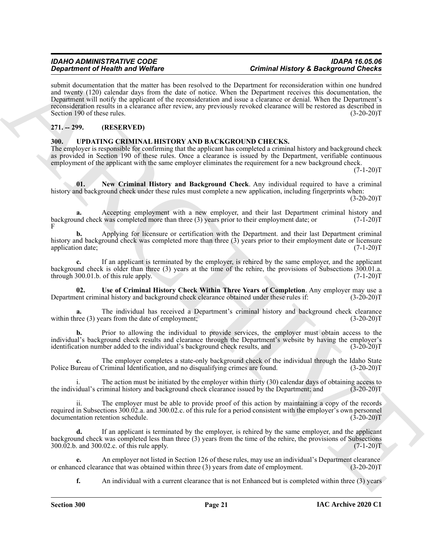**Signal theory of Health and Velocity**<br> **Archives** of the *China China China China China China China China China China China China China China China China China China China China China China China China China China China* submit documentation that the matter has been resolved to the Department for reconsideration within one hundred and twenty (120) calendar days from the date of notice. When the Department receives this documentation, the Department will notify the applicant of the reconsideration and issue a clearance or denial. When the Department's reconsideration results in a clearance after review, any previously revoked clearance will be restored as described in Section 190 of these rules. (3-20-20)T

### <span id="page-20-0"></span>**271. -- 299. (RESERVED)**

### <span id="page-20-2"></span><span id="page-20-1"></span>**300. UPDATING CRIMINAL HISTORY AND BACKGROUND CHECKS.**

The employer is responsible for confirming that the applicant has completed a criminal history and background check as provided in Section 190 of these rules. Once a clearance is issued by the Department, verifiable continuous employment of the applicant with the same employer eliminates the requirement for a new background check.

 $(7-1-20)T$ 

<span id="page-20-3"></span>**01.** New Criminal History and Background Check. Any individual required to have a criminal history and background check under these rules must complete a new application, including fingerprints when:  $(3-20-20)T$ 

**a.** Accepting employment with a new employer, and their last Department criminal history and check was completed more than three (3) years prior to their employment date: or (7-1-20) background check was completed more than three  $(3)$  years prior to their employment date; or F

**b.** Applying for licensure or certification with the Department. and their last Department criminal history and background check was completed more than three (3) years prior to their employment date or licensure application date; (7-1-20)T

**c.** If an applicant is terminated by the employer, is rehired by the same employer, and the applicant background check is older than three (3) years at the time of the rehire, the provisions of Subsections  $300.01$ .a.<br>through  $300.01$ .b. of this rule apply. (7-1-20) through  $300.01$ .b. of this rule apply.

<span id="page-20-4"></span>**02.** Use of Criminal History Check Within Three Years of Completion. Any employer may use a ent criminal history and background check clearance obtained under these rules if: (3-20-20) Department criminal history and background check clearance obtained under these rules if:

**a.** The individual has received a Department's criminal history and background check clearance within three (3) years from the date of employment; (3-20-20)T

**b.** Prior to allowing the individual to provide services, the employer must obtain access to the individual's background check results and clearance through the Department's website by having the employer's identification number added to the individual's background check results, and (3-20-20)T

**c.** The employer completes a state-only background check of the individual through the Idaho State ureau of Criminal Identification, and no disqualifying crimes are found. (3-20-20) Police Bureau of Criminal Identification, and no disqualifying crimes are found.

The action must be initiated by the employer within thirty  $(30)$  calendar days of obtaining access to iminal history and background check clearance issued by the Department; and  $(3-20-20)$ T the individual's criminal history and background check clearance issued by the Department; and

ii. The employer must be able to provide proof of this action by maintaining a copy of the records required in Subsections 300.02.a. and 300.02.c. of this rule for a period consistent with the employer's own personnel documentation retention schedule. (3-20-20)T

**d.** If an applicant is terminated by the employer, is rehired by the same employer, and the applicant background check was completed less than three (3) years from the time of the rehire, the provisions of Subsections 300.02.b. and 300.02.c. of this rule apply. (7-1-20)T

**e.** An employer not listed in Section 126 of these rules, may use an individual's Department clearance ced clearance that was obtained within three (3) years from date of employment. (3-20-20) or enhanced clearance that was obtained within three (3) years from date of employment.

**f.** An individual with a current clearance that is not Enhanced but is completed within three (3) years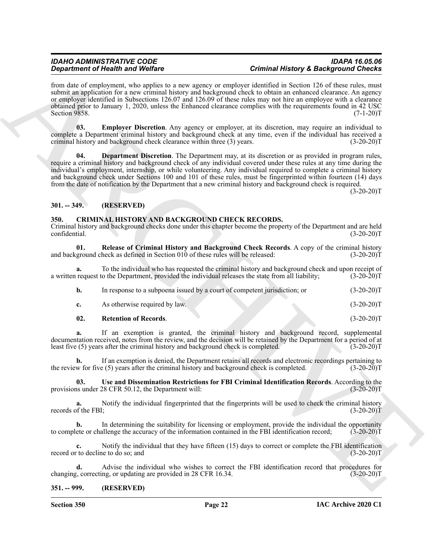**Signal from the Kindy and Welfare<br>
Constraint of Health and Welfare<br>
Example, the answer space of constraints in the Signal Scheme of the Constraints of the Signal Scheme of the Constraints<br>
Archives the constraints of t** from date of employment, who applies to a new agency or employer identified in Section 126 of these rules, must submit an application for a new criminal history and background check to obtain an enhanced clearance. An agency or employer identified in Subsections 126.07 and 126.09 of these rules may not hire an employee with a clearance obtained prior to January 1, 2020, unless the Enhanced clearance complies with the requirements found in 42 USC Section 9858. (7-1-20)T

<span id="page-21-8"></span>**03. Employer Discretion**. Any agency or employer, at its discretion, may require an individual to complete a Department criminal history and background check at any time, even if the individual has received a criminal history and background check clearance within three (3) years. (3-20-20)T

<span id="page-21-7"></span>**04. Department Discretion**. The Department may, at its discretion or as provided in program rules, require a criminal history and background check of any individual covered under these rules at any time during the individual's employment, internship, or while volunteering. Any individual required to complete a criminal history and background check under Sections 100 and 101 of these rules, must be fingerprinted within fourteen (14) days from the date of notification by the Department that a new criminal history and background check is required.

 $(3-20-20)T$ 

### <span id="page-21-0"></span>**301. -- 349. (RESERVED)**

### <span id="page-21-3"></span><span id="page-21-1"></span>**350. CRIMINAL HISTORY AND BACKGROUND CHECK RECORDS.**

Criminal history and background checks done under this chapter become the property of the Department and are held confidential. (3-20-20)T

<span id="page-21-4"></span>**01. Release of Criminal History and Background Check Records**. A copy of the criminal history and background check as defined in Section  $010$  of these rules will be released:  $(3-20-20)T$ 

**a.** To the individual who has requested the criminal history and background check and upon receipt of request to the Department, provided the individual releases the state from all liability; (3-20-20)T a written request to the Department, provided the individual releases the state from all liability;

| In response to a subpoena issued by a court of competent jurisdiction; or | $(3-20-20)T$ |
|---------------------------------------------------------------------------|--------------|
| As otherwise required by law.                                             | $(3-20-20)T$ |

# <span id="page-21-5"></span>**02. Retention of Records**. (3-20-20)T

**a.** If an exemption is granted, the criminal history and background record, supplemental documentation received, notes from the review, and the decision will be retained by the Department for a period of at least five (5) years after the criminal history and background check is completed. (3-20-20)T

**b.** If an exemption is denied, the Department retains all records and electronic recordings pertaining to w for five (5) years after the criminal history and background check is completed. (3-20-20) the review for five  $(5)$  years after the criminal history and background check is completed.

<span id="page-21-6"></span>**03.** Use and Dissemination Restrictions for FBI Criminal Identification Records. According to the us under 28 CFR 50.12, the Department will: (3-20-20) provisions under 28 CFR 50.12, the Department will:

**a.** Notify the individual fingerprinted that the fingerprints will be used to check the criminal history records of the FBI; (3-20-20)T

**b.** In determining the suitability for licensing or employment, provide the individual the opportunity ete or challenge the accuracy of the information contained in the FBI identification record; (3-20-20)T to complete or challenge the accuracy of the information contained in the FBI identification record;

**c.** Notify the individual that they have fifteen (15) days to correct or complete the FBI identification record or to decline to do so; and (3-20-20)T

**d.** Advise the individual who wishes to correct the FBI identification record that procedures for  $\mu$ , correcting, or updating are provided in 28 CFR 16.34. (3-20-20) changing, correcting, or updating are provided in 28 CFR 16.34.

### <span id="page-21-2"></span>**351. -- 999. (RESERVED)**

**Section 350 Page 22**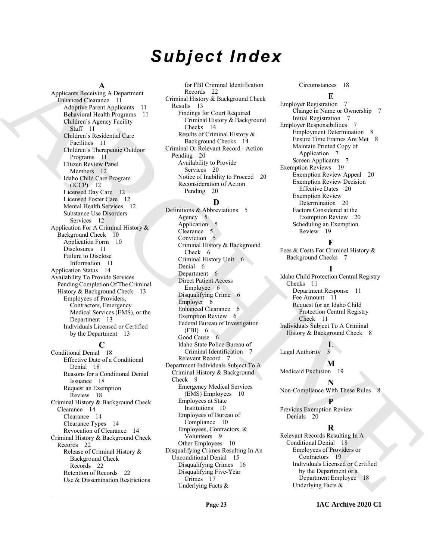# *Subject Index*

### **A**

Applicants Receiving A Department Enhanced Clearance 11 Adoptive Parent Applicants 11 Behavioral Health Programs 11 Children's Agency Facility Staff 11 Children's Residential Care Facilities 11 Children's Therapeutic Outdoor Programs 11 Citizen Review Panel Members 12 Idaho Child Care Program (ICCP) 12 Licensed Day Care 12 Licensed Foster Care 12 Mental Health Services 12 Substance Use Disorders Services 12 Application For A Criminal History & Background Check 10 Application Form 10 Disclosures 11 Failure to Disclose Information 11 Application Status 14 Availability To Provide Services Pending Completion Of The Criminal History & Background Check 13 Employees of Providers, Contractors, Emergency Medical Services (EMS), or the Department 13 Individuals Licensed or Certified by the Department 13

### **C**

Conditional Denial 18 Effective Date of a Conditional Denial 18 Reasons for a Conditional Denial Issuance 18 Request an Exemption Review 18 Criminal History & Background Check Clearance 14 Clearance 14 Clearance Types 14 Revocation of Clearance 14 Criminal History & Background Check Records 22 Release of Criminal History & Background Check Records 22 Retention of Records 22 Use & Dissemination Restrictions

for FBI Criminal Identification Records 22 Criminal History & Background Check Results 13 Findings for Court Required Criminal History & Background Checks 14 Results of Criminal History & Background Checks 14 Criminal Or Relevant Record - Action Pending 20 Availability to Provide Services 20 Notice of Inability to Proceed 20 Reconsideration of Action Pending 20

### **D**

[A](#page-10-3)pplication Alto Depends (and Depends 1990)<br>
September 1990) - Constantino Constantino (and Depends 1990)<br>
September 1990) - Constantino Constantino (and Depends 1990)<br>
Constantino Constantino (and Depends 1990) - Constan Definitions & Abbreviations 5 Agency 5 Application 5 Clearance 5 Conviction 5 Criminal History & Background Check 6 Criminal History Unit 6 Denial 6 Department 6 Direct Patient Access Employee 6 Disqualifying Crime 6 Employer 6 Enhanced Clearance 6 Exemption Review 6 Federal Bureau of Investigation  $(FBI)$  6 Good Cause 6 Idaho State Police Bureau of Criminal Identification 7 Relevant Record 7 Department Individuals Subject To A Criminal History & Background Check 9 Emergency Medical Services (EMS) Employees 10 Employees at State Institutions 10 Employees of Bureau of Compliance 10 Employees, Contractors, & Volunteers 9 Other Employees 10 Disqualifying Crimes Resulting In An Unconditional Denial 15 Disqualifying Crimes 16 Disqualifying Five-Year Crimes 17 Underlying Facts &

### Circumstances 18

### **E**

Employer Registration 7 Change in Name or Ownership 7 Initial Registration 7 Employer Responsibilities 7 Employment Determination 8 Ensure Time Frames Are Met 8 Maintain Printed Copy of Application 7 Screen Applicants 7 Exemption Reviews 19 Exemption Review Appeal 20 Exemption Review Decision Effective Dates 20 Exemption Review Determination 20 Factors Considered at the Exemption Review 20 Scheduling an Exemption Review 19

### **F**

Fees & Costs For Criminal History & Background Checks 7

### **I**

Idaho Child Protection Central Registry Checks 11 Department Response 11 Fee Amount 11 Request for an Idaho Child Protection Central Registry Check 11 Individuals Subject To A Criminal History & Background Check 8

### **L**

Legal Authority 5 **M**

Medicaid Exclusion 19

**N** Non-Compliance With These Rules

### **P**

Previous Exemption Review Denials 20

### **R**

Relevant Records Resulting In A Conditional Denial 18 Employees of Providers or Contractors 19 Individuals Licensed or Certified by the Department or a Department Employee 18 Underlying Facts &